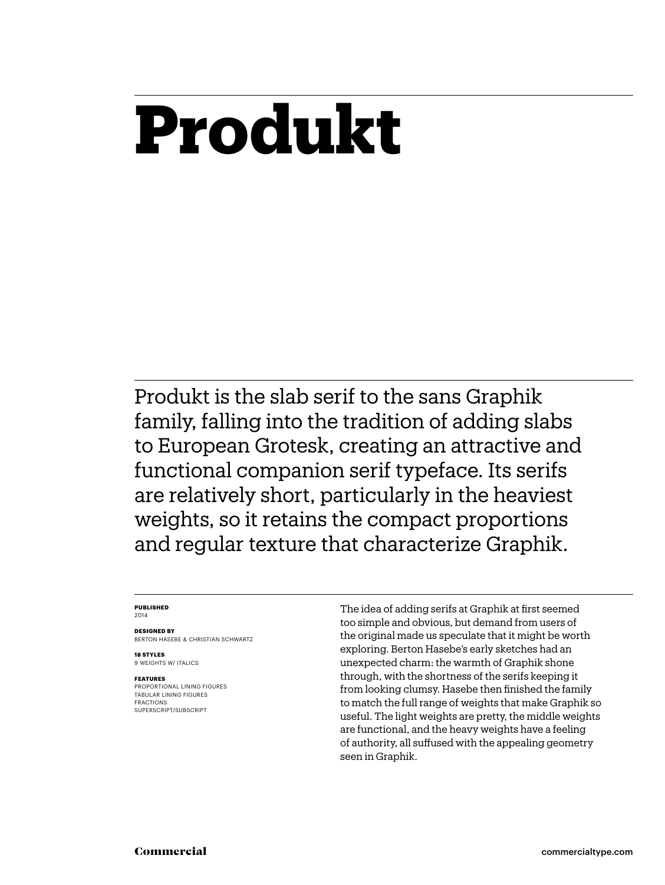## **Produkt**

Produkt is the slab serif to the sans Graphik family, falling into the tradition of adding slabs to European Grotesk, creating an attractive and functional companion serif typeface. Its serifs are relatively short, particularly in the heaviest weights, so it retains the compact proportions and regular texture that characterize Graphik.

### **Published** 2014

**Designed by** BERTON HASEBE & Christian Schwartz

**18 styles** 9 WEIGHTS W/ ITALICS

### **Features**

PROPORTIONAL LINING FIGURES tabular lining FIGURES FRACTIONS SUPERSCRIPT/SUBSCRIPT

The idea of adding serifs at Graphik at first seemed too simple and obvious, but demand from users of the original made us speculate that it might be worth exploring. Berton Hasebe's early sketches had an unexpected charm: the warmth of Graphik shone through, with the shortness of the serifs keeping it from looking clumsy. Hasebe then finished the family to match the full range of weights that make Graphik so useful. The light weights are pretty, the middle weights are functional, and the heavy weights have a feeling of authority, all suffused with the appealing geometry seen in Graphik.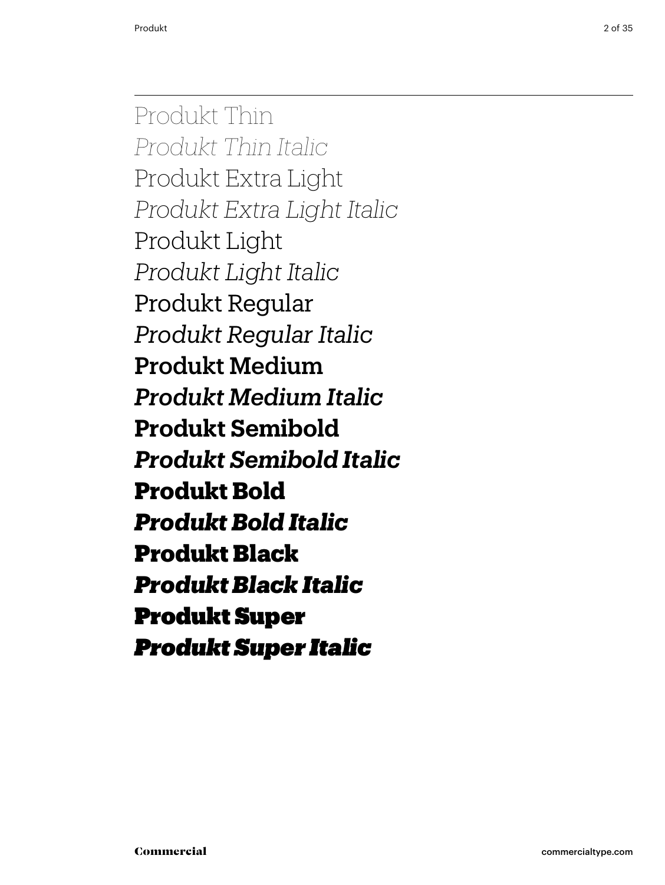Produkt Thin *Produkt Thin Italic* Produkt Extra Light *Produkt Extra Light Italic* Produkt Light *Produkt Light Italic* Produkt Regular *Produkt Regular Italic* Produkt Medium *Produkt Medium Italic* **Produkt Semibold** *Produkt Semibold Italic* **Produkt Bold** *Produkt Bold Italic* Produkt Black *Produkt Black Italic* Produkt Super *Produkt Super Italic*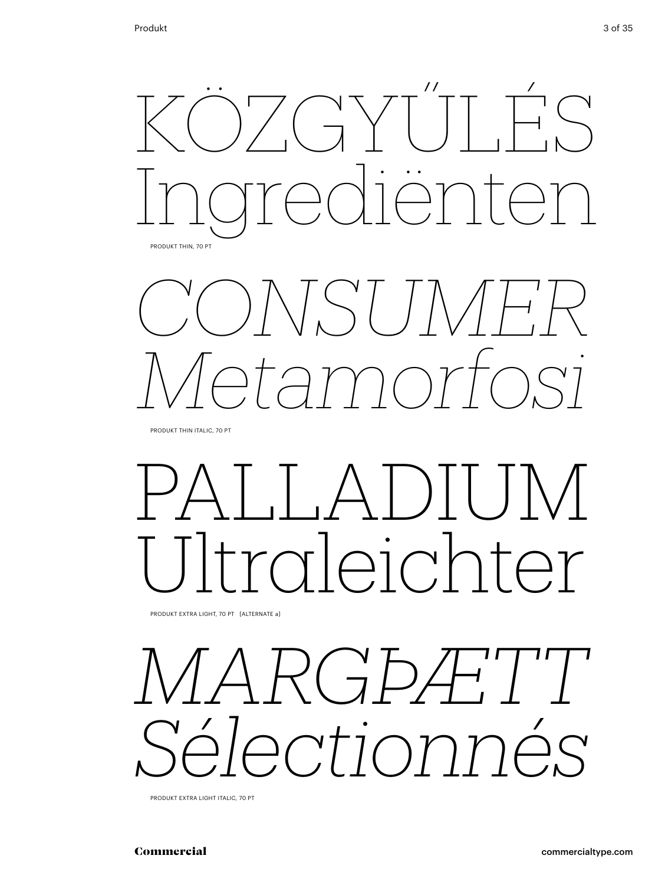



PRODUKT THIN ITALIC, 70 PT

# PALLADIUM *vleichter*

Produkt Extra Light, 70 pt [alternate a]



Produkt Extra Light Italic, 70 pt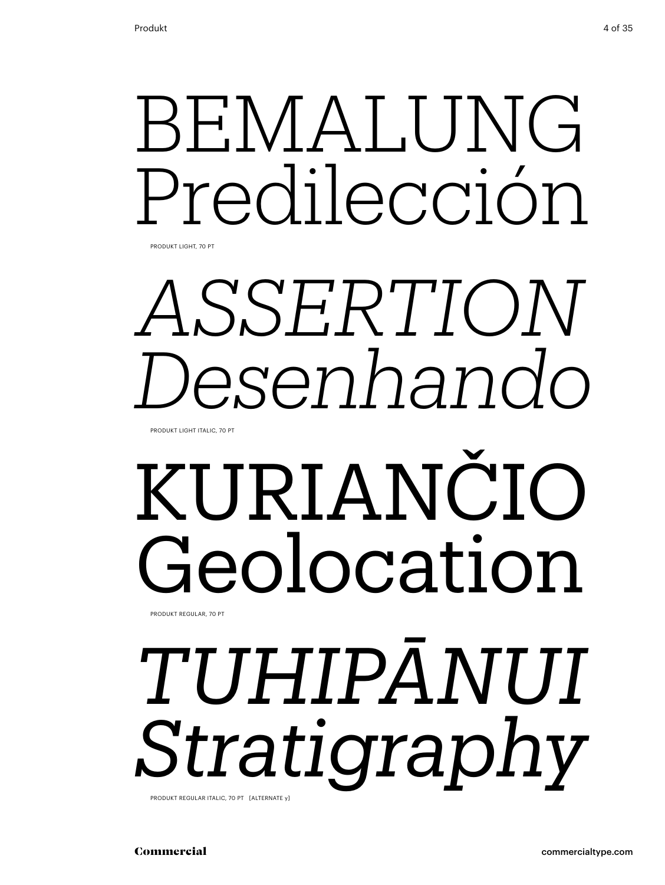# BEMALUNG Predilección

Produkt Light, 70 pt

# *assertion Desenhando*

Produkt Light italic, 70 pt

## kuriančio Geolocation Produkt regular, 70 pt

*Tuhipānui Stratigraphy*

Produkt regular italic, 70 pt [alternate y]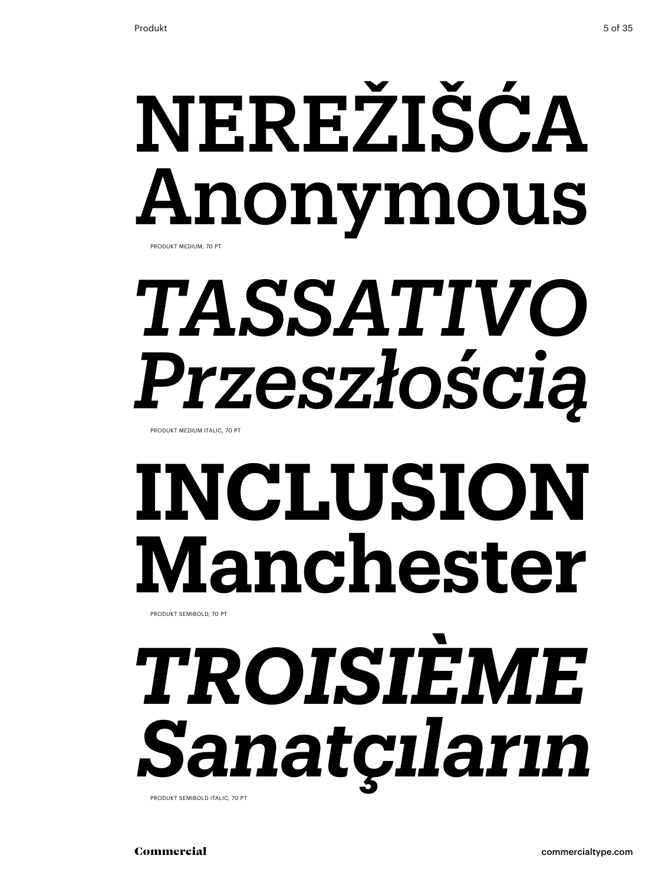## NEREŽIŠĆA Anonymous Produkt medium, 70 pt

# *tassativo Przeszłością*

Produkt medium italic, 70 pt

# **inclusion Manchester**

Produkt semibold, 70 pt

## *troisième Sanatçıların* Produkt semibold italic, 70 pt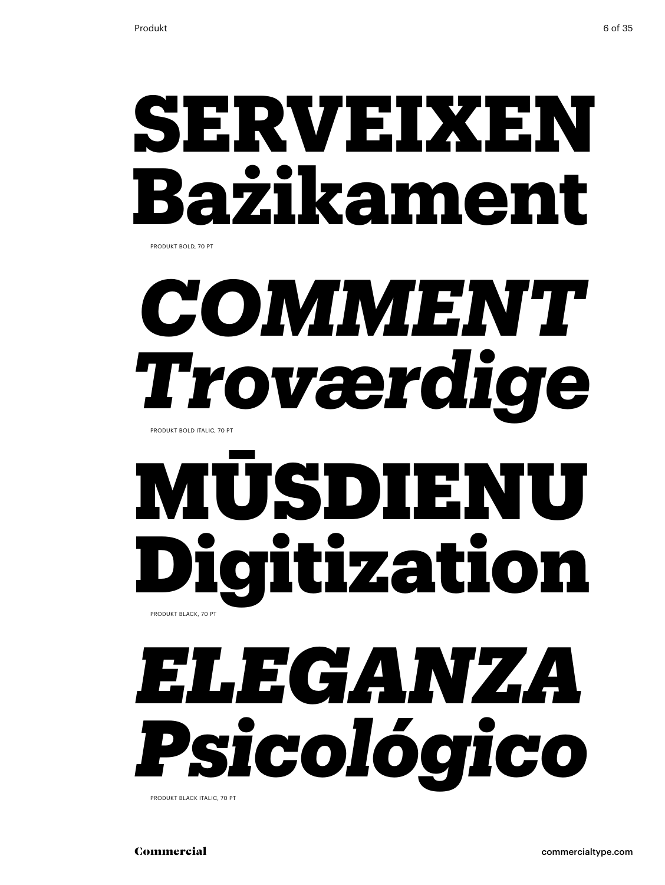## **serveixen Bażikament**

PRODUKT BOLD, 70 PT

# *comment Troværdige*

Produkt bold italic, 70 pt

## USDIENI Digitization Produkt black, 70 pt

## *eleganza Psicológico*

Produkt black italic, 70 pt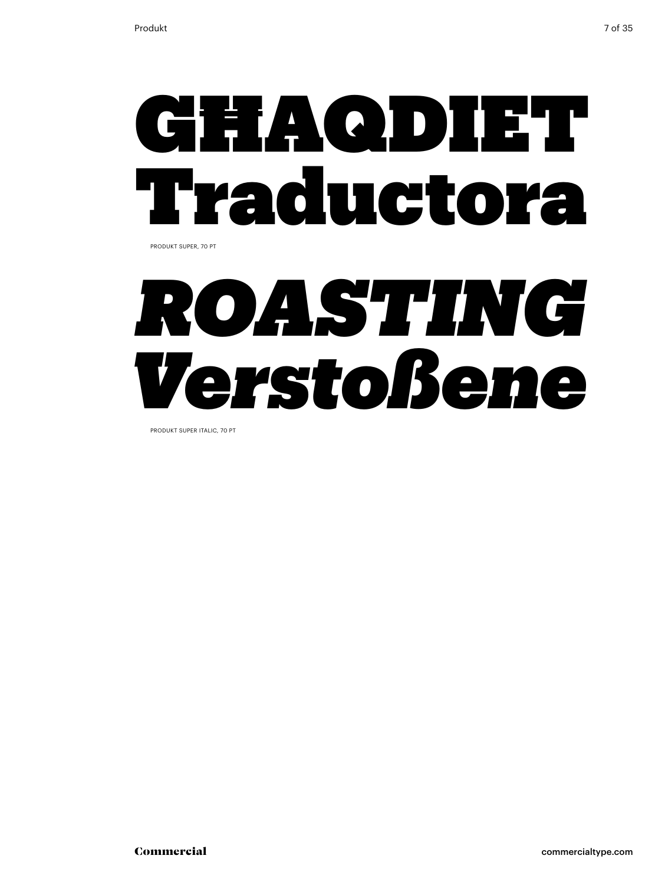

Produkt super, 70 pt

## *roasting Verstoßene*

Produkt super italic, 70 pt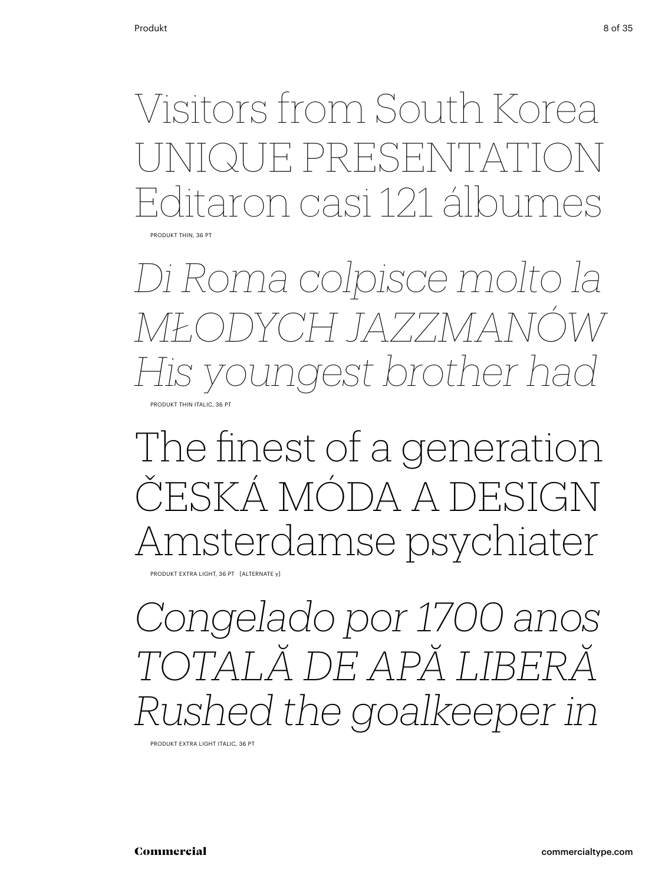Visitors from South Korea unique presentation Editaron casi 121 álbumes Produkt Thin, 36 pt

*Di Roma colpisce molto la młodych jazzmanów His youngest brother had* PRODUKT THIN ITALIC, 36 PT

### The finest of a generation ČESKÁ MÓDA A DESIGN Amsterdamse psychiater

Produkt Extra Light, 36 pt [alternate y]

*Congelado por 1700 anos totală de apă liberă Rushed the goalkeeper in*

Produkt Extra Light Italic, 36 pt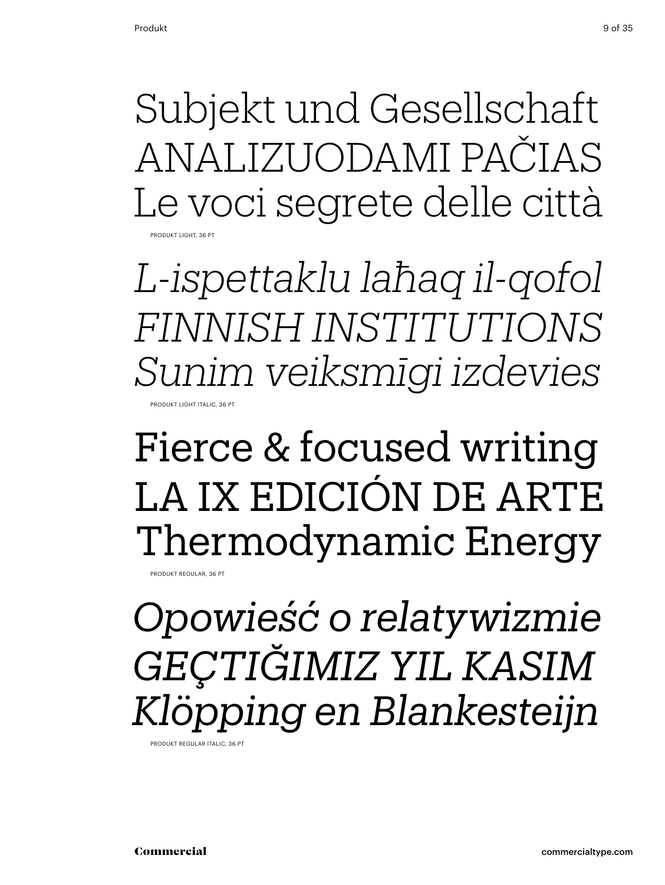Subjekt und Gesellschaft Analizuodami pačias Le voci segrete delle città Produkt Light, 36 pt

*L-ispettaklu laħaq il-qofol finnish institutions Sunim veiksmīgi izdevies* PRODUKT LIGHT ITALIC, 36 PT

### Fierce & focused writing La ix edición de Arte Thermodynamic Energy

PRODUKT REGULAR, 36 PT

*Opowieść o relatywizmie Geçtiğimiz yıl kasım Klöpping en Blankesteijn*

Produkt Regular Italic, 36 pt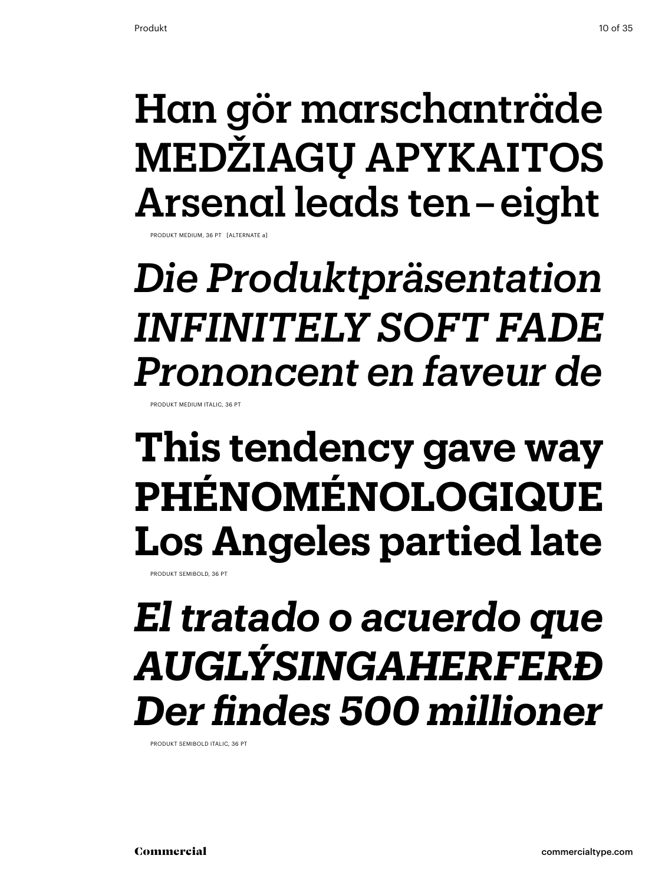## Han gör marschanträde medžiagų apykaitos Arsenal leads ten – eight

Produkt Medium, 36 pt [alternate a]

*Die Produktpräsentation infinitely soft fade Prononcent en faveur de*

Produkt Medium Italic, 36 pt

### **This tendency gave way phénoménologique Los Angeles partied late**

PRODUKT SEMIBOLD, 36 PT

### *El tratado o acuerdo que Auglýsingaherferð Der findes 500 millioner*

Produkt Semibold Italic, 36 pt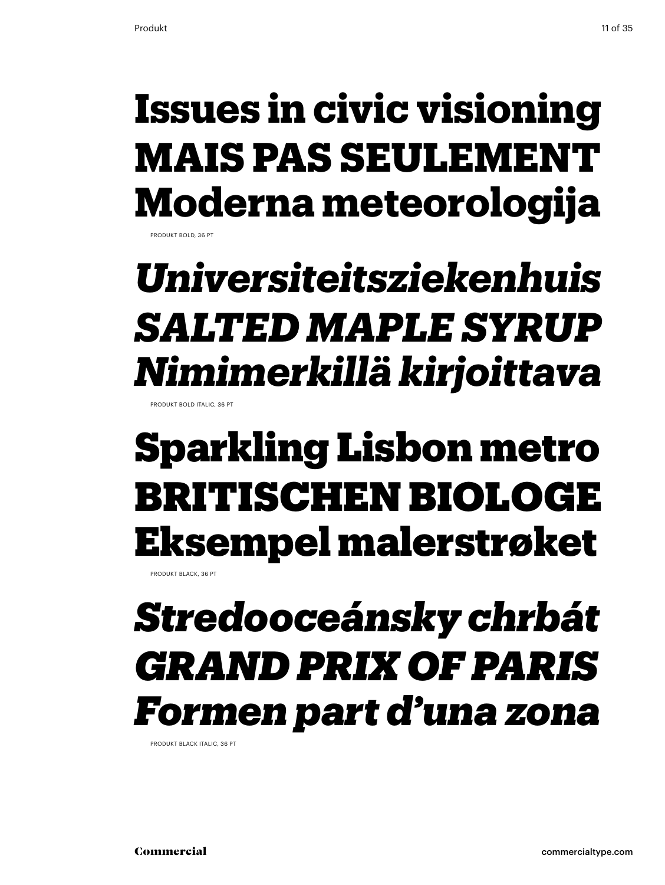## **Issues in civic visioning Mais pas seulement Moderna meteorologija**

PRODUKT BOLD, 36 PT

## *Universiteitsziekenhuis Salted maple syrup Nimimerkillä kirjoittava*

Produkt bold italic, 36 pt

### Sparkling Lisbon metro britischen Biologe Eksempel malerstrøket

Produkt Black, 36 pt

## *Stredooceánsky chrbát Grand Prix of Paris Formen part d'una zona*

Produkt Black Italic, 36 pt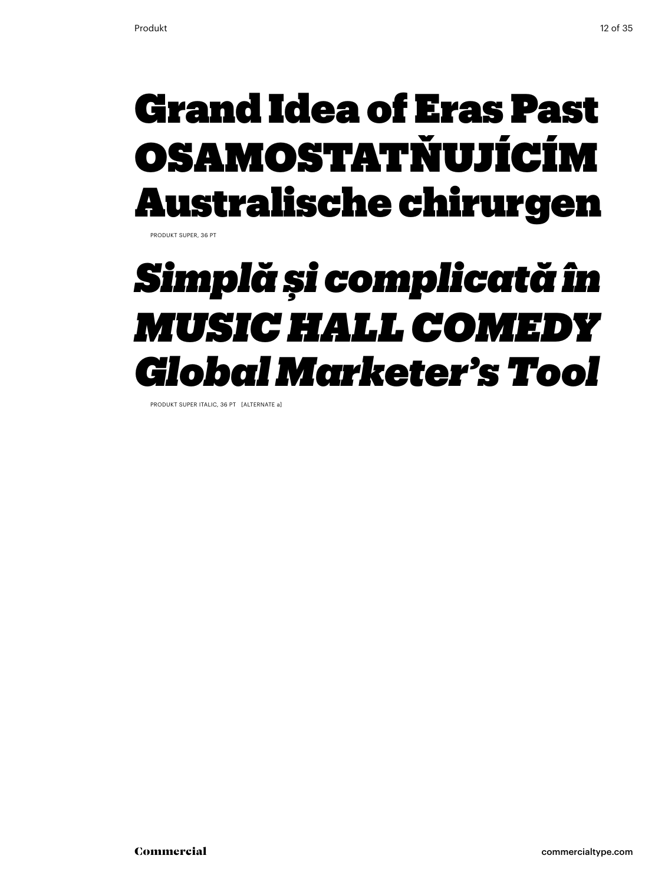### Grand Idea of Eras Past osamostatňujícím Australische chirurgen

Produkt super, 36 pt

## *Simplă şi complicată în music hall comedy Global Marketer's Tool*

Produkt super italic, 36 pt [alternate a]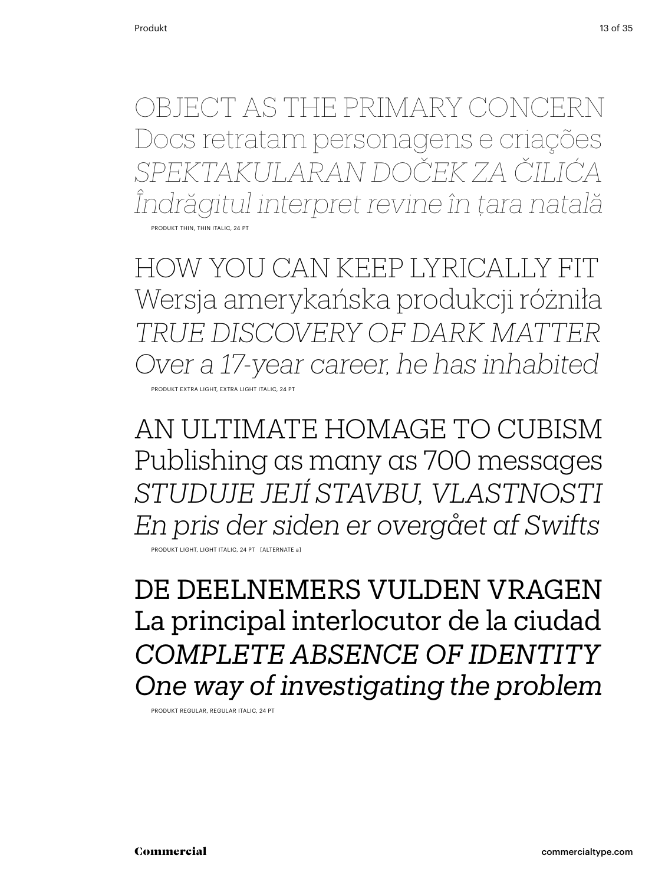object as the primary concern Docs retratam personagens e criações *Spektakularan doček za Čilića Îndrăgitul interpret revine în ţara natală* Produkt thin, thin italic, 24 Pt

how you can keep lyrically fit Wersja amerykańska produkcji różniła *true discovery of dark matter Over a 17-year career, he has inhabited*  Produkt Extra Light, extra Light Italic, 24 Pt

An ultimate homage to Cubism Publishing as many as 700 messages *Studuje její stavbu, vlastnosti En pris der siden er overgået af Swifts*

Produkt light, light italic, 24 Pt [alternate a]

De deelnemers vulden vragen La principal interlocutor de la ciudad *complete absence of identity One way of investigating the problem*

Produkt regular, regular Italic, 24 Pt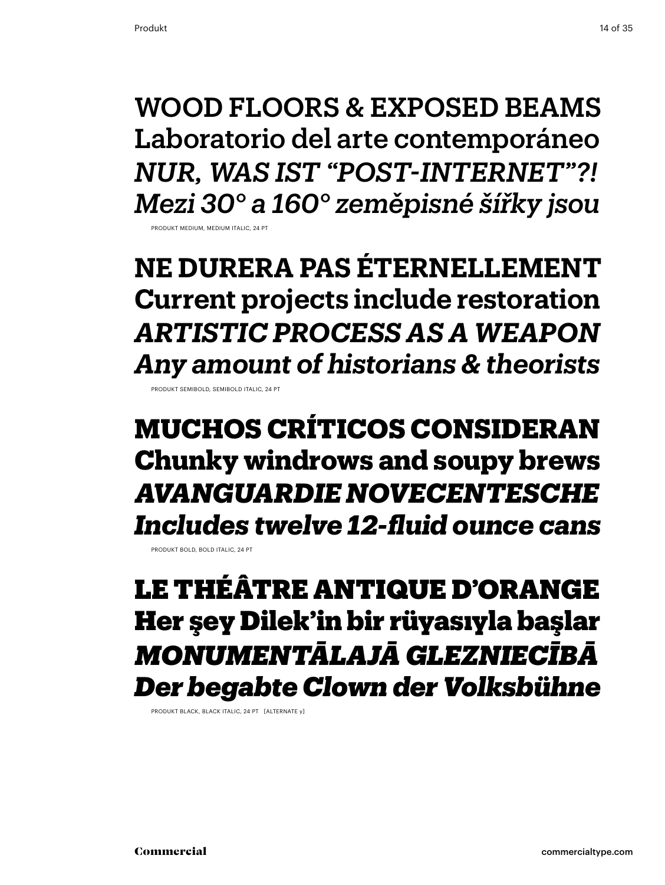wood floors & exposed beams Laboratorio del arte contemporáneo *Nur, was ist "Post-Internet"?! Mezi 30° a 160° zeměpisné šířky jsou*

Produkt medium, medium Italic, 24 Pt

**Ne durera pas éternellement Current projects include restoration** *Artistic process as a weapon Any amount of historians & theorists*

PRODUKT SEMIBOLD, SEMIBOLD ITALIC, 24

**Muchos críticos consideran Chunky windrows and soupy brews** *Avanguardie novecentesche Includes twelve 12-fluid ounce cans*

Produkt bold, bold Italic, 24 Pt

Le théâtre antique d'Orange Her şey Dilek'in bir rüyasıyla başlar *Monumentālajā glezniecībā Der begabte Clown der Volksbühne*

Produkt black, black Italic, 24 Pt [alternate y]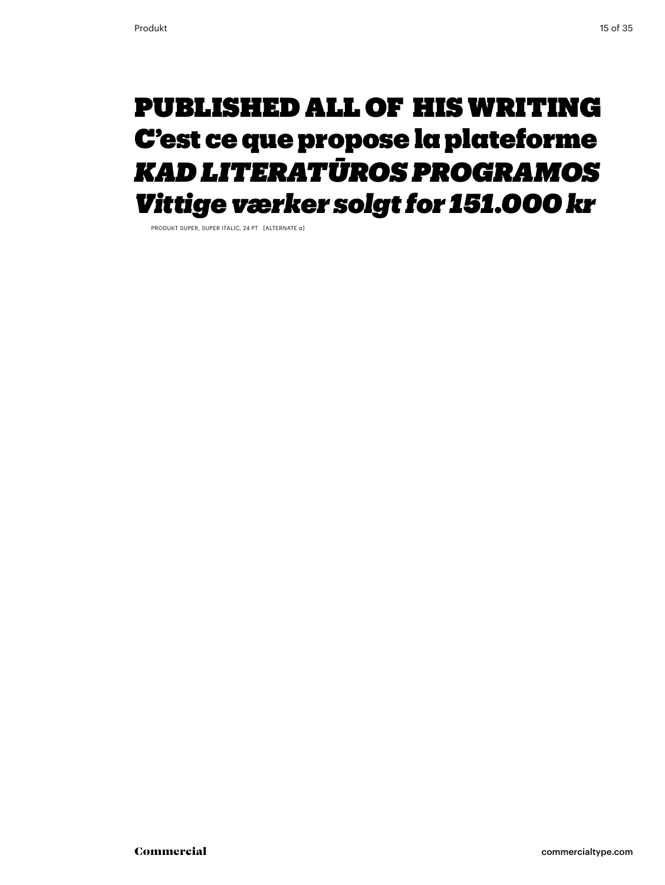### Published all of his writing C'est ce que propose la plateforme *kad literatūrosprogramos Vittige værker solgt for 151.000 kr*

Produkt super, super Italic, 24 Pt [alternate a]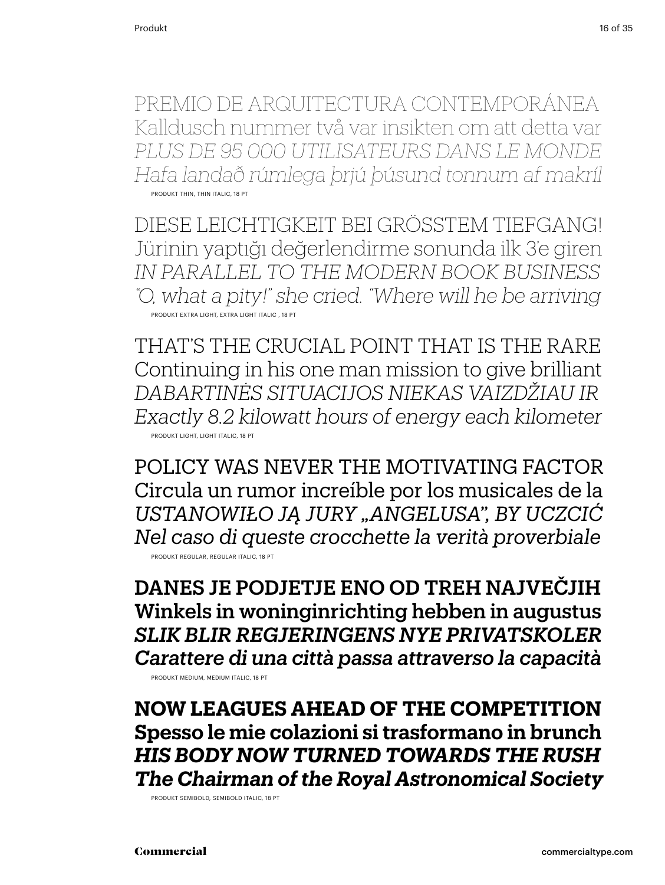Premio de Arquitectura Contemporánea Kalldusch nummer två var insikten om att detta var *Plus de 95 000 utilisateurs dans le monde Hafa landað rúmlega þrjú þúsund tonnum af makríl* Produkt thin, thin italic, 18 Pt

Diese Leichtigkeit bei gröSStem Tiefgang! Jürinin yaptığı değerlendirme sonunda ilk 3'e giren *In parallel to the modern book business "O, what a pity!" she cried. "Where will he be arriving* Produkt extra light, extra Light Italic , 18 Pt

That's the crucial point that is the rare Continuing in his one man mission to give brilliant *Dabartinės situacijos niekas vaizdžiau ir Exactly 8.2 kilowatt hours of energy each kilometer* Produkt light, Light Italic, 18 Pt

policy was never the motivating factor Circula un rumor increíble por los musicales de la *Ustanowiło ją jury "Angelusa", by uczcić Nel caso di queste crocchette la verità proverbiale* Produkt regular, regular Italic, 18 Pt

Danes je podjetje eno od treh največjih Winkels in woninginrichting hebben in augustus *Slik blir Regjeringens nye privatskoler Carattere di una città passa attraverso la capacità* Produkt medium, medium italic, 18 Pt

**now leagues ahead of the competition Spesso le mie colazioni si trasformano in brunch** *His body now turned towards the rush The Chairman of the Royal Astronomical Society*

Produkt semibold, semibold italic, 18 Pt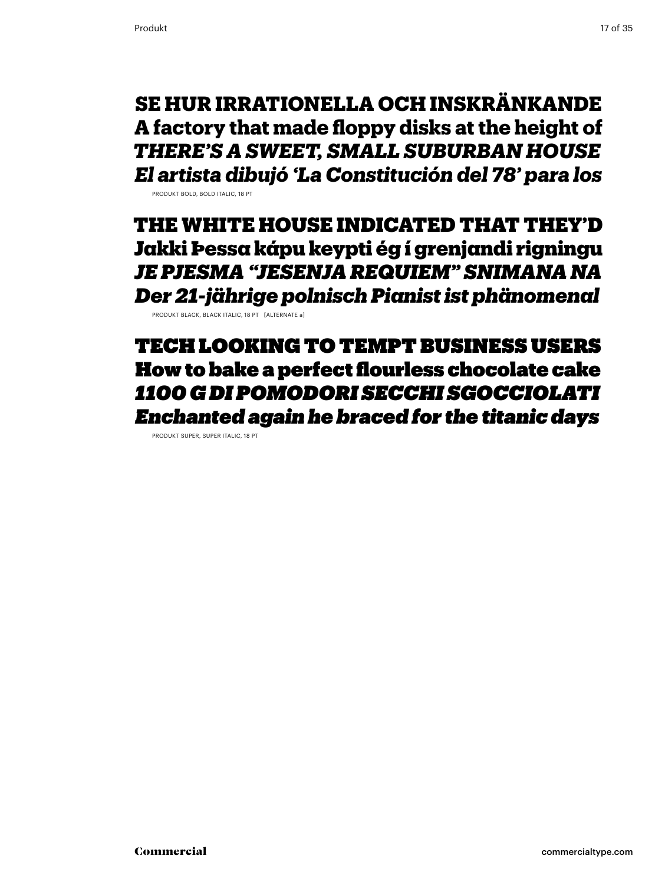**Se hur irrationella och inskränkande A factory that made floppy disks at the height of** *There's a sweet, small suburban house El artista dibujó 'La Constitución del 78' para los*

Produkt bold, bold italic, 18 Pt

The White House indicated that They'd Jakki Þessa kápu keypti ég í grenjandi rigningu *Je pjesma "Jesenja Requiem" snimana na Der 21-jährige polnisch Pianist ist phänomenal*

Produkt black, black italic, 18 Pt [alternate a]

tech looking to tempt business users How to bake a perfect flourless chocolate cake *1100 g dipomodori secchi sgocciolati Enchanted again he braced for the titanic days*

Produkt super, super italic, 18 Pt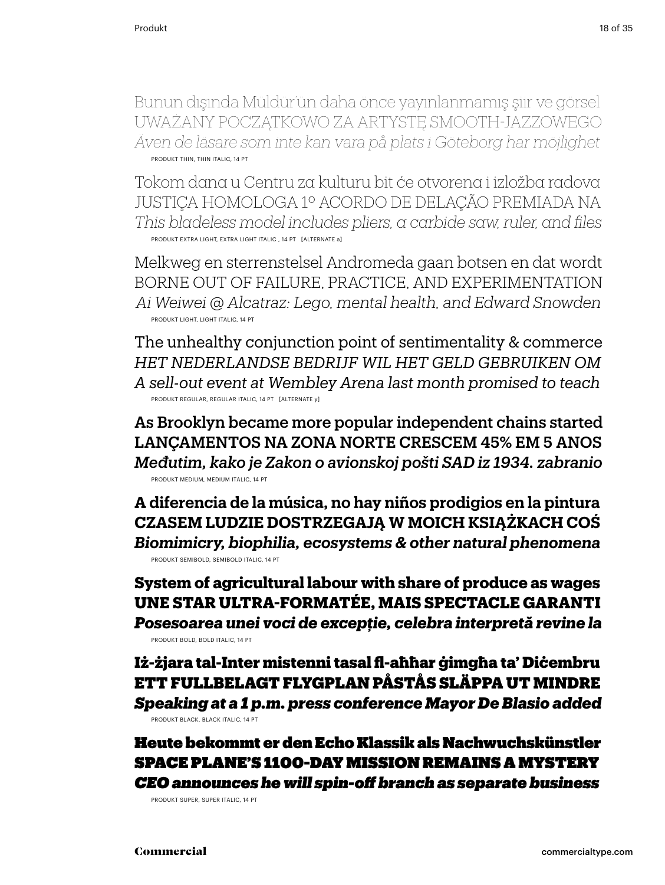Bunun dışında Müldür'ün daha önce yayınlanmamış şiir ve görsel Uważany początkowo za artystę smooth-jazzowego *Även de läsare som inte kan vara på plats i Göteborg har möjlighet* Produkt thin, thin italic, 14 pt

Tokom dana u Centru za kulturu bit će otvorena i izložba radova Justiça homologa 1º acordo de delação premiada na *This bladeless model includes pliers, a carbide saw, ruler, and files* Produkt extra light, extra Light Italic , 14 pt [alternate a]

Melkweg en sterrenstelsel Andromeda gaan botsen en dat wordt Borne out of failure, practice, and experimentation *Ai Weiwei @ Alcatraz: Lego, mental health, and Edward Snowden* Produkt light, Light Italic, 14 pt

The unhealthy conjunction point of sentimentality & commerce *Het Nederlandse bedrijf wil het geld gebruiken om A sell-out event at Wembley Arena last month promised to teach* Produkt regular, regular Italic, 14 pt [alternate y]

As Brooklyn became more popular independent chains started Lançamentos na Zona Norte crescem 45% em 5 anos *Međutim, kako je Zakon o avionskoj pošti SAD iz 1934. zabranio* Produkt medium, medium italic, 14 pt

**A diferencia de la música, no hay niños prodigios en la pintura Czasem ludzie dostrzegają w moich książkach coś** *Biomimicry, biophilia, ecosystems & other natural phenomena* Produkt semibold, semibold italic, 14 pt

**System of agricultural labour with share of produce as wages Une star ultra-formatée, mais spectacle garanti** *Posesoarea unei voci de excepţie, celebra interpretă revine la* Produkt bold, bold italic, 14 pt

Iż-żjara tal-Inter mistenni tasal fl-aħħar ġimgħa ta' Diċembru Ett fullbelagt flygplan påstås släppa ut mindre *Speaking at a 1 p.m. press conference Mayor De Blasio added* Produkt black, black italic, 14 pt

Heute bekommt er den Echo Klassik als Nachwuchskünstler space plane's 1100-day mission remains a mystery *CEO announces he will spin-off branch as separate business*

Produkt super, super italic, 14 pt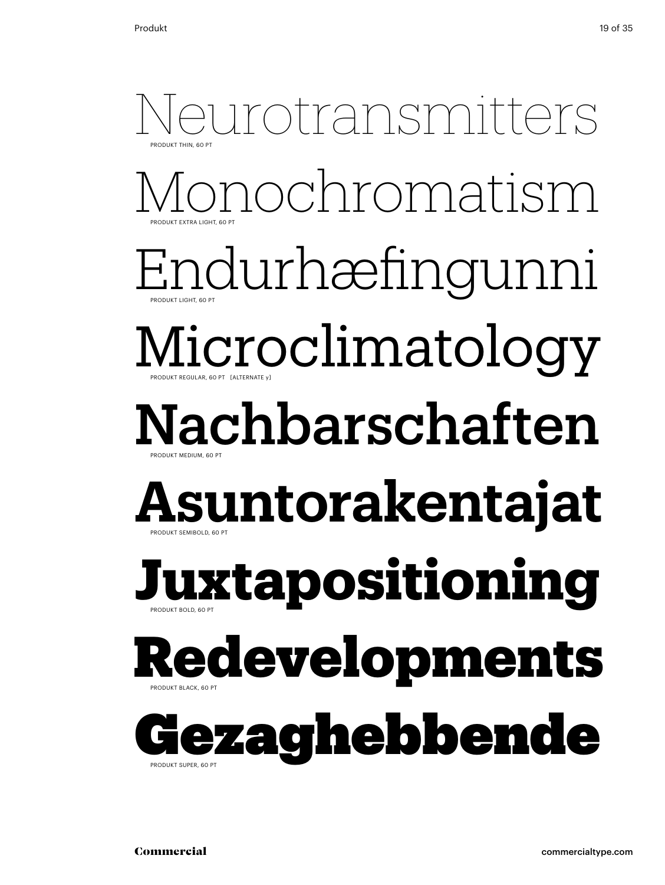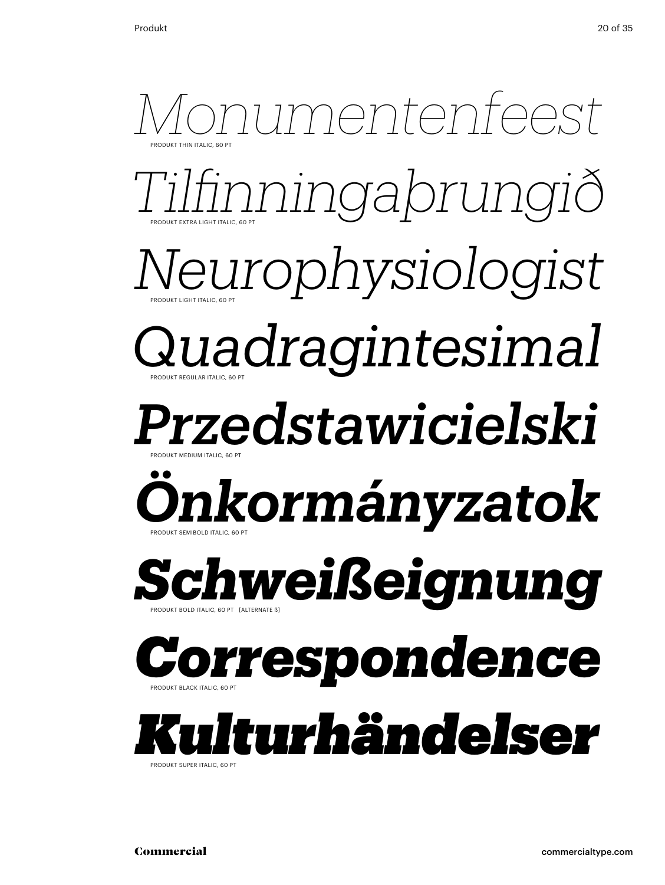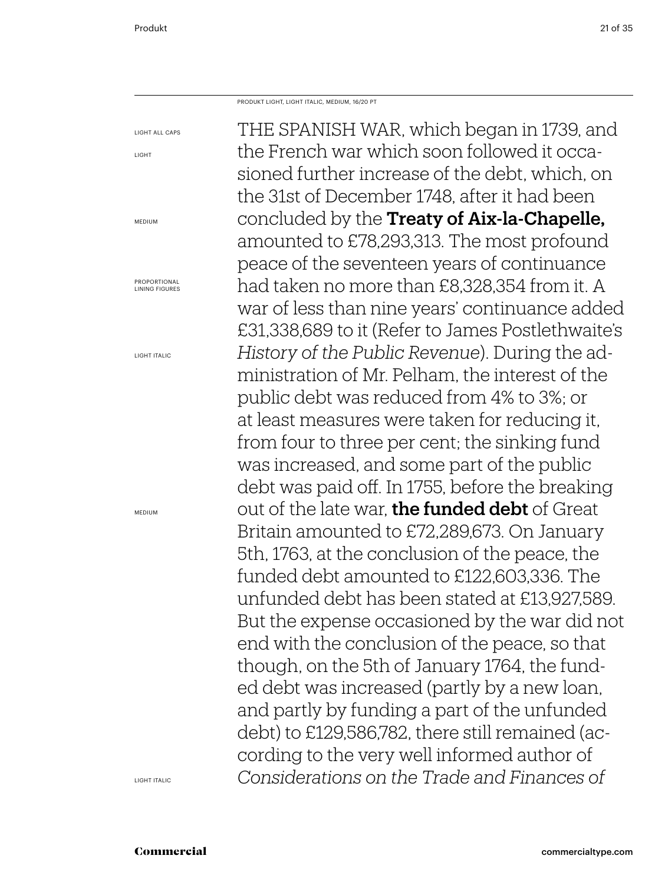Produkt Light, Light Italic, Medium, 16/20 PT

THE SPANISH WAR, which began in 1739, and the French war which soon followed it occasioned further increase of the debt, which, on the 31st of December 1748, after it had been concluded by the Treaty of Aix-la-Chapelle, amounted to £78,293,313. The most profound peace of the seventeen years of continuance had taken no more than £8,328,354 from it. A war of less than nine years' continuance added £31,338,689 to it (Refer to James Postlethwaite's *History of the Public Revenue*). During the administration of Mr. Pelham, the interest of the public debt was reduced from 4% to 3%; or at least measures were taken for reducing it, from four to three per cent; the sinking fund was increased, and some part of the public debt was paid off. In 1755, before the breaking out of the late war, the funded debt of Great Britain amounted to £72,289,673. On January 5th, 1763, at the conclusion of the peace, the funded debt amounted to £122,603,336. The unfunded debt has been stated at £13,927,589. But the expense occasioned by the war did not end with the conclusion of the peace, so that though, on the 5th of January 1764, the funded debt was increased (partly by a new loan, and partly by funding a part of the unfunded debt) to £129,586,782, there still remained (according to the very well informed author of *Considerations on the Trade and Finances of* 

light

light all caps

medium

Proportional lining figures

light italic

**MEDIUM** 

light Italic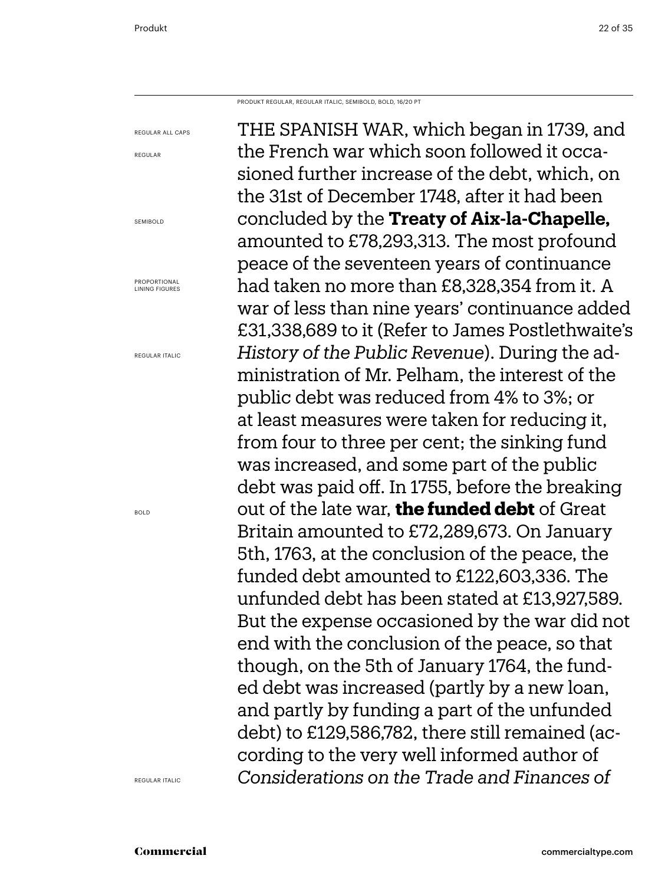Produkt regular, regular Italic, semibold, bold, 16/20 PT

THE SPANISH WAR, which began in 1739, and the French war which soon followed it occasioned further increase of the debt, which, on the 31st of December 1748, after it had been concluded by the **Treaty of Aix-la-Chapelle,** amounted to £78,293,313. The most profound peace of the seventeen years of continuance had taken no more than £8,328,354 from it. A war of less than nine years' continuance added £31,338,689 to it (Refer to James Postlethwaite's *History of the Public Revenue*). During the administration of Mr. Pelham, the interest of the public debt was reduced from 4% to 3%; or at least measures were taken for reducing it, from four to three per cent; the sinking fund was increased, and some part of the public debt was paid off. In 1755, before the breaking out of the late war, **the funded debt** of Great Britain amounted to £72,289,673. On January 5th, 1763, at the conclusion of the peace, the funded debt amounted to £122,603,336. The unfunded debt has been stated at £13,927,589. But the expense occasioned by the war did not end with the conclusion of the peace, so that though, on the 5th of January 1764, the funded debt was increased (partly by a new loan, and partly by funding a part of the unfunded debt) to £129,586,782, there still remained (according to the very well informed author of *Considerations on the Trade and Finances of* 

regular all caps regular

**SEMIBOLD** 

Proportional lining figures

regular italic

bold

regular Italic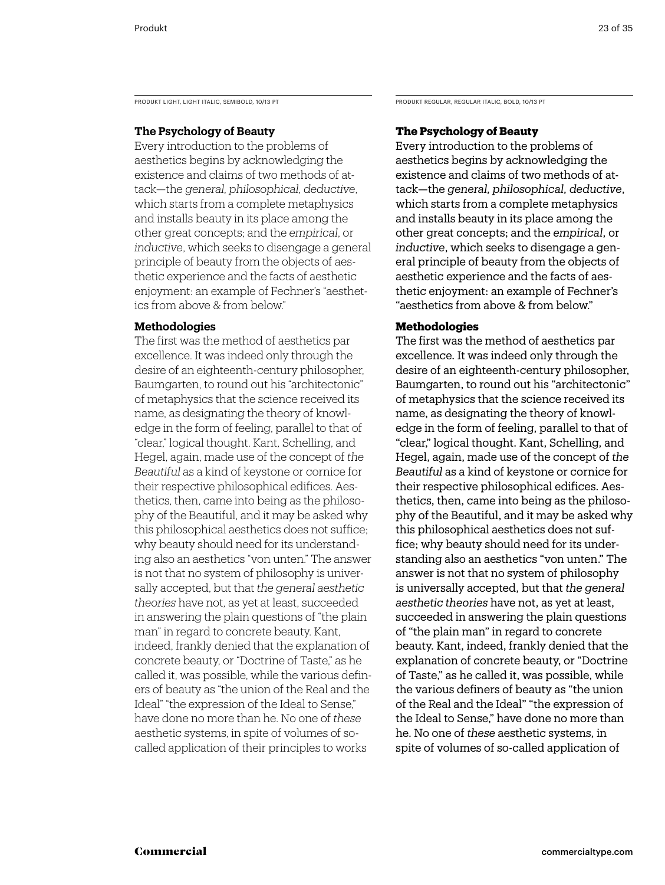PRODUKT LIGHT, LIGHT ITALIC, SEMIBOLD, 10/13 PT **PRODUKT REGULAR, REGULAR, REGULAR ITALIC**, BOLD, 10/13 PT

### **The Psychology of Beauty**

Every introduction to the problems of aesthetics begins by acknowledging the existence and claims of two methods of attack—the *general, philosophical, deductive*, which starts from a complete metaphysics and installs beauty in its place among the other great concepts; and the *empirical*, or *inductive*, which seeks to disengage a general principle of beauty from the objects of aesthetic experience and the facts of aesthetic enjoyment: an example of Fechner's "aesthetics from above & from below."

### **Methodologies**

The first was the method of aesthetics par excellence. It was indeed only through the desire of an eighteenth-century philosopher, Baumgarten, to round out his "architectonic" of metaphysics that the science received its name, as designating the theory of knowledge in the form of feeling, parallel to that of "clear," logical thought. Kant, Schelling, and Hegel, again, made use of the concept of *the Beautiful* as a kind of keystone or cornice for their respective philosophical edifices. Aesthetics, then, came into being as the philosophy of the Beautiful, and it may be asked why this philosophical aesthetics does not suffice; why beauty should need for its understanding also an aesthetics "von unten." The answer is not that no system of philosophy is universally accepted, but that *the general aesthetic theories* have not, as yet at least, succeeded in answering the plain questions of "the plain man" in regard to concrete beauty. Kant, indeed, frankly denied that the explanation of concrete beauty, or "Doctrine of Taste," as he called it, was possible, while the various definers of beauty as "the union of the Real and the Ideal" "the expression of the Ideal to Sense," have done no more than he. No one of *these* aesthetic systems, in spite of volumes of socalled application of their principles to works

### **The Psychology of Beauty**

Every introduction to the problems of aesthetics begins by acknowledging the existence and claims of two methods of attack—the *general, philosophical, deductive*, which starts from a complete metaphysics and installs beauty in its place among the other great concepts; and the *empirical*, or *inductive*, which seeks to disengage a general principle of beauty from the objects of aesthetic experience and the facts of aesthetic enjoyment: an example of Fechner's "aesthetics from above & from below."

### **Methodologies**

The first was the method of aesthetics par excellence. It was indeed only through the desire of an eighteenth-century philosopher, Baumgarten, to round out his "architectonic" of metaphysics that the science received its name, as designating the theory of knowledge in the form of feeling, parallel to that of "clear," logical thought. Kant, Schelling, and Hegel, again, made use of the concept of *the Beautiful* as a kind of keystone or cornice for their respective philosophical edifices. Aesthetics, then, came into being as the philosophy of the Beautiful, and it may be asked why this philosophical aesthetics does not suffice; why beauty should need for its understanding also an aesthetics "von unten." The answer is not that no system of philosophy is universally accepted, but that *the general aesthetic theories* have not, as yet at least, succeeded in answering the plain questions of "the plain man" in regard to concrete beauty. Kant, indeed, frankly denied that the explanation of concrete beauty, or "Doctrine of Taste," as he called it, was possible, while the various definers of beauty as "the union of the Real and the Ideal" "the expression of the Ideal to Sense," have done no more than he. No one of *these* aesthetic systems, in spite of volumes of so-called application of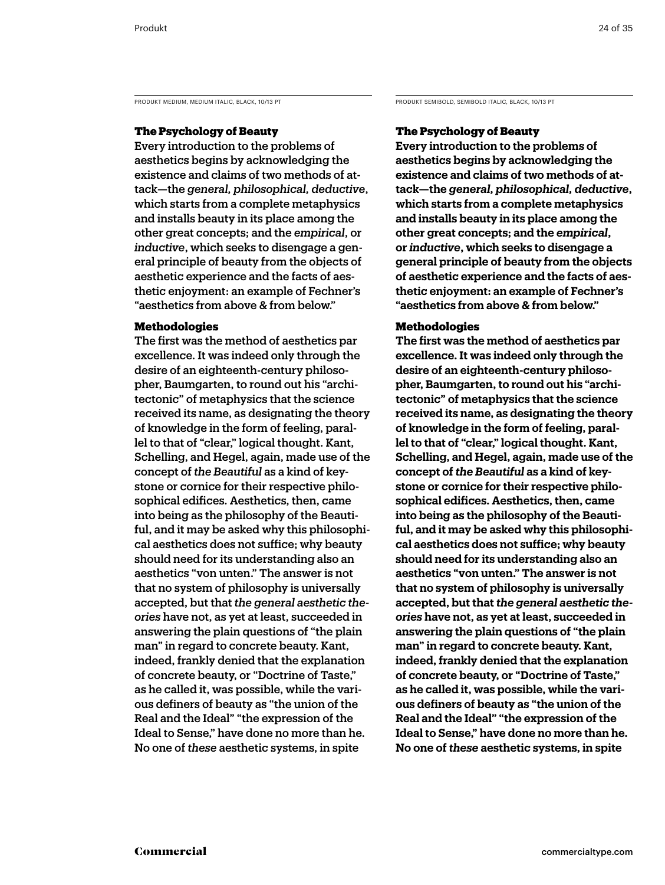PRODUKT MEDIUM, MEDIUM ITALIC, BLACK, 10/13 PT PRODUKT SEMIBOLD, SEMIBOLD, SEMIBOLD ITALIC, BLACK, 10/13 PT

### The Psychology of Beauty

Every introduction to the problems of aesthetics begins by acknowledging the existence and claims of two methods of attack—the *general, philosophical, deductive*, which starts from a complete metaphysics and installs beauty in its place among the other great concepts; and the *empirical*, or *inductive*, which seeks to disengage a general principle of beauty from the objects of aesthetic experience and the facts of aesthetic enjoyment: an example of Fechner's "aesthetics from above & from below."

### Methodologies

The first was the method of aesthetics par excellence. It was indeed only through the desire of an eighteenth-century philosopher, Baumgarten, to round out his "architectonic" of metaphysics that the science received its name, as designating the theory of knowledge in the form of feeling, parallel to that of "clear," logical thought. Kant, Schelling, and Hegel, again, made use of the concept of *the Beautiful* as a kind of keystone or cornice for their respective philosophical edifices. Aesthetics, then, came into being as the philosophy of the Beautiful, and it may be asked why this philosophical aesthetics does not suffice; why beauty should need for its understanding also an aesthetics "von unten." The answer is not that no system of philosophy is universally accepted, but that *the general aesthetic theories* have not, as yet at least, succeeded in answering the plain questions of "the plain man" in regard to concrete beauty. Kant, indeed, frankly denied that the explanation of concrete beauty, or "Doctrine of Taste," as he called it, was possible, while the various definers of beauty as "the union of the Real and the Ideal" "the expression of the Ideal to Sense," have done no more than he. No one of *these* aesthetic systems, in spite

### The Psychology of Beauty

**Every introduction to the problems of aesthetics begins by acknowledging the existence and claims of two methods of attack—the** *general, philosophical, deductive***, which starts from a complete metaphysics and installs beauty in its place among the other great concepts; and the** *empirical***, or** *inductive***, which seeks to disengage a general principle of beauty from the objects of aesthetic experience and the facts of aesthetic enjoyment: an example of Fechner's "aesthetics from above & from below."** 

### Methodologies

**The first was the method of aesthetics par excellence. It was indeed only through the desire of an eighteenth-century philosopher, Baumgarten, to round out his "architectonic" of metaphysics that the science received its name, as designating the theory of knowledge in the form of feeling, parallel to that of "clear," logical thought. Kant, Schelling, and Hegel, again, made use of the concept of** *the Beautiful* **as a kind of keystone or cornice for their respective philosophical edifices. Aesthetics, then, came into being as the philosophy of the Beautiful, and it may be asked why this philosophical aesthetics does not suffice; why beauty should need for its understanding also an aesthetics "von unten." The answer is not that no system of philosophy is universally accepted, but that** *the general aesthetic theories* **have not, as yet at least, succeeded in answering the plain questions of "the plain man" in regard to concrete beauty. Kant, indeed, frankly denied that the explanation of concrete beauty, or "Doctrine of Taste," as he called it, was possible, while the various definers of beauty as "the union of the Real and the Ideal" "the expression of the Ideal to Sense," have done no more than he. No one of** *these* **aesthetic systems, in spite**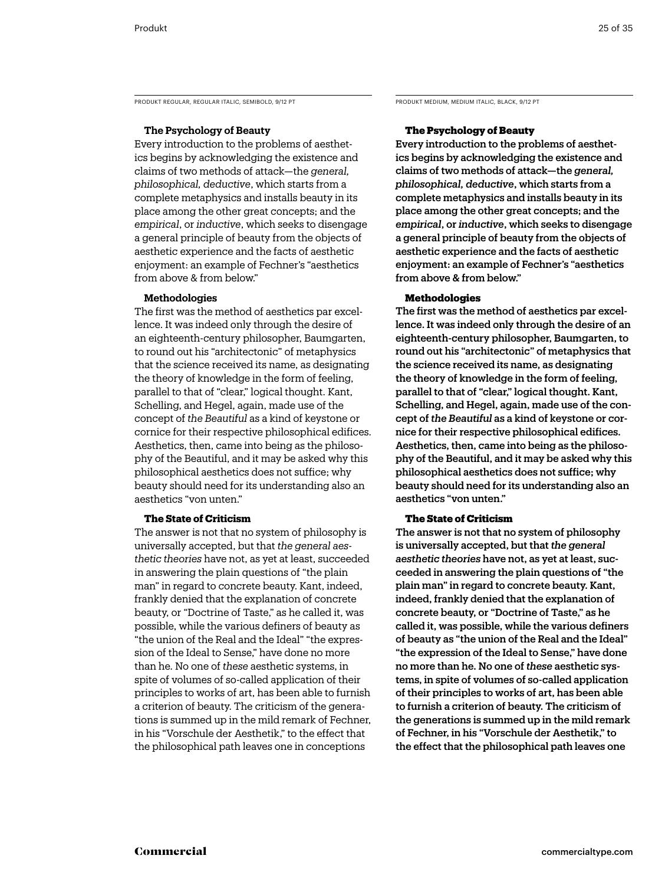PRODUKT REGULAR, REGULAR ITALIC, SEMIBOLD, 9/12 PT PRODUKT MEDIUM, MEDIUM ITALIC, BLACK, 9/12 PT

### **The Psychology of Beauty**

Every introduction to the problems of aesthetics begins by acknowledging the existence and claims of two methods of attack—the *general, philosophical, deductive*, which starts from a complete metaphysics and installs beauty in its place among the other great concepts; and the *empirical*, or *inductive*, which seeks to disengage a general principle of beauty from the objects of aesthetic experience and the facts of aesthetic enjoyment: an example of Fechner's "aesthetics from above & from below."

### **Methodologies**

The first was the method of aesthetics par excellence. It was indeed only through the desire of an eighteenth-century philosopher, Baumgarten, to round out his "architectonic" of metaphysics that the science received its name, as designating the theory of knowledge in the form of feeling, parallel to that of "clear," logical thought. Kant, Schelling, and Hegel, again, made use of the concept of *the Beautiful* as a kind of keystone or cornice for their respective philosophical edifices. Aesthetics, then, came into being as the philosophy of the Beautiful, and it may be asked why this philosophical aesthetics does not suffice; why beauty should need for its understanding also an aesthetics "von unten."

### **The State of Criticism**

The answer is not that no system of philosophy is universally accepted, but that *the general aesthetic theories* have not, as yet at least, succeeded in answering the plain questions of "the plain man" in regard to concrete beauty. Kant, indeed, frankly denied that the explanation of concrete beauty, or "Doctrine of Taste," as he called it, was possible, while the various definers of beauty as "the union of the Real and the Ideal" "the expression of the Ideal to Sense," have done no more than he. No one of *these* aesthetic systems, in spite of volumes of so-called application of their principles to works of art, has been able to furnish a criterion of beauty. The criticism of the generations is summed up in the mild remark of Fechner, in his "Vorschule der Aesthetik," to the effect that the philosophical path leaves one in conceptions

### The Psychology of Beauty

Every introduction to the problems of aesthetics begins by acknowledging the existence and claims of two methods of attack—the *general, philosophical, deductive*, which starts from a complete metaphysics and installs beauty in its place among the other great concepts; and the *empirical*, or *inductive*, which seeks to disengage a general principle of beauty from the objects of aesthetic experience and the facts of aesthetic enjoyment: an example of Fechner's "aesthetics from above & from below."

### **Methodologies**

The first was the method of aesthetics par excellence. It was indeed only through the desire of an eighteenth-century philosopher, Baumgarten, to round out his "architectonic" of metaphysics that the science received its name, as designating the theory of knowledge in the form of feeling, parallel to that of "clear," logical thought. Kant, Schelling, and Hegel, again, made use of the concept of *the Beautiful* as a kind of keystone or cornice for their respective philosophical edifices. Aesthetics, then, came into being as the philosophy of the Beautiful, and it may be asked why this philosophical aesthetics does not suffice; why beauty should need for its understanding also an aesthetics "von unten."

### The State of Criticism

The answer is not that no system of philosophy is universally accepted, but that *the general aesthetic theories* have not, as yet at least, succeeded in answering the plain questions of "the plain man" in regard to concrete beauty. Kant, indeed, frankly denied that the explanation of concrete beauty, or "Doctrine of Taste," as he called it, was possible, while the various definers of beauty as "the union of the Real and the Ideal" "the expression of the Ideal to Sense," have done no more than he. No one of *these* aesthetic systems, in spite of volumes of so-called application of their principles to works of art, has been able to furnish a criterion of beauty. The criticism of the generations is summed up in the mild remark of Fechner, in his "Vorschule der Aesthetik," to the effect that the philosophical path leaves one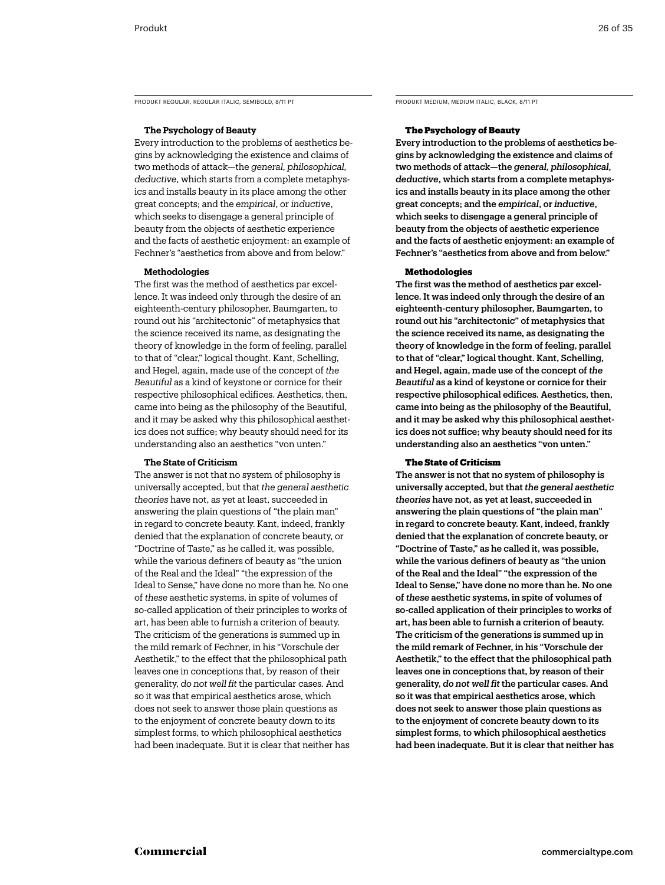PRODUKT REGULAR, REGULAR ITALIC, SEMIBOLD, 8/11 PT PRODUKT MEDIUM, MEDIUM ITALIC, BLACK, 8/11 PT

### **The Psychology of Beauty**

Every introduction to the problems of aesthetics begins by acknowledging the existence and claims of two methods of attack—the *general, philosophical, deductive*, which starts from a complete metaphysics and installs beauty in its place among the other great concepts; and the *empirical*, or *inductive*, which seeks to disengage a general principle of beauty from the objects of aesthetic experience and the facts of aesthetic enjoyment: an example of Fechner's "aesthetics from above and from below."

### **Methodologies**

The first was the method of aesthetics par excellence. It was indeed only through the desire of an eighteenth-century philosopher, Baumgarten, to round out his "architectonic" of metaphysics that the science received its name, as designating the theory of knowledge in the form of feeling, parallel to that of "clear," logical thought. Kant, Schelling, and Hegel, again, made use of the concept of *the Beautiful* as a kind of keystone or cornice for their respective philosophical edifices. Aesthetics, then, came into being as the philosophy of the Beautiful, and it may be asked why this philosophical aesthetics does not suffice; why beauty should need for its understanding also an aesthetics "von unten."

### **The State of Criticism**

The answer is not that no system of philosophy is universally accepted, but that *the general aesthetic theories* have not, as yet at least, succeeded in answering the plain questions of "the plain man" in regard to concrete beauty. Kant, indeed, frankly denied that the explanation of concrete beauty, or "Doctrine of Taste," as he called it, was possible, while the various definers of beauty as "the union of the Real and the Ideal" "the expression of the Ideal to Sense," have done no more than he. No one of *these* aesthetic systems, in spite of volumes of so-called application of their principles to works of art, has been able to furnish a criterion of beauty. The criticism of the generations is summed up in the mild remark of Fechner, in his "Vorschule der Aesthetik," to the effect that the philosophical path leaves one in conceptions that, by reason of their generality, *do not well fit* the particular cases. And so it was that empirical aesthetics arose, which does not seek to answer those plain questions as to the enjoyment of concrete beauty down to its simplest forms, to which philosophical aesthetics had been inadequate. But it is clear that neither has

### The Psychology of Beauty

Every introduction to the problems of aesthetics begins by acknowledging the existence and claims of two methods of attack—the *general, philosophical, deductive*, which starts from a complete metaphysics and installs beauty in its place among the other great concepts; and the *empirical*, or *inductive*, which seeks to disengage a general principle of beauty from the objects of aesthetic experience and the facts of aesthetic enjoyment: an example of Fechner's "aesthetics from above and from below."

### Methodologies

The first was the method of aesthetics par excellence. It was indeed only through the desire of an eighteenth-century philosopher, Baumgarten, to round out his "architectonic" of metaphysics that the science received its name, as designating the theory of knowledge in the form of feeling, parallel to that of "clear," logical thought. Kant, Schelling, and Hegel, again, made use of the concept of *the Beautiful* as a kind of keystone or cornice for their respective philosophical edifices. Aesthetics, then, came into being as the philosophy of the Beautiful, and it may be asked why this philosophical aesthetics does not suffice; why beauty should need for its understanding also an aesthetics "von unten."

### The State of Criticism

The answer is not that no system of philosophy is universally accepted, but that *the general aesthetic theories* have not, as yet at least, succeeded in answering the plain questions of "the plain man" in regard to concrete beauty. Kant, indeed, frankly denied that the explanation of concrete beauty, or "Doctrine of Taste," as he called it, was possible, while the various definers of beauty as "the union of the Real and the Ideal" "the expression of the Ideal to Sense," have done no more than he. No one of *these* aesthetic systems, in spite of volumes of so-called application of their principles to works of art, has been able to furnish a criterion of beauty. The criticism of the generations is summed up in the mild remark of Fechner, in his "Vorschule der Aesthetik," to the effect that the philosophical path leaves one in conceptions that, by reason of their generality, *do not well fit* the particular cases. And so it was that empirical aesthetics arose, which does not seek to answer those plain questions as to the enjoyment of concrete beauty down to its simplest forms, to which philosophical aesthetics had been inadequate. But it is clear that neither has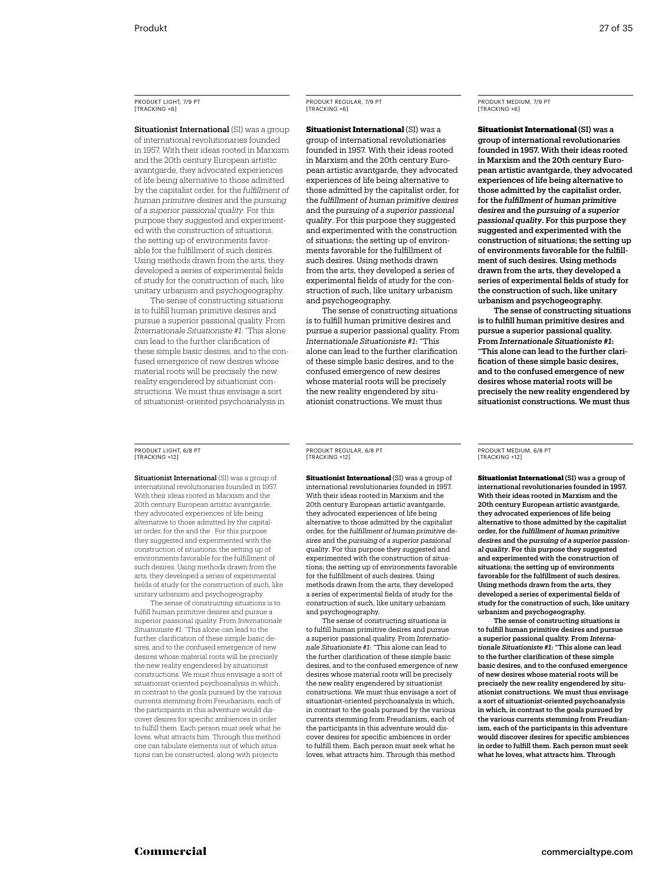### Produkt Light, 7/9 PT [tracking +6]

Situationist International (SI) was a group of international revolutionaries founded in 1957. With their ideas rooted in Marxism and the 20th century European artistic avantgarde, they advocated experiences of life being alternative to those admitted by the capitalist order, for the *fulfillment of human primitive desires* and the *pursuing of a superior passional quality*. For this purpose they suggested and experimented with the construction of situations; the setting up of environments favorable for the fulfillment of such desires. Using methods drawn from the arts, they developed a series of experimental fields of study for the construction of such, like unitary urbanism and psychogeography.

The sense of constructing situations is to fulfill human primitive desires and pursue a superior passional quality. From *Internationale Situationiste #1*: "This alone can lead to the further clarification of these simple basic desires, and to the confused emergence of new desires whose material roots will be precisely the new reality engendered by situationist constructions. We must thus envisage a sort of situationist-oriented psychoanalysis in

### Produkt Regular, 7/9 PT [tracking +6]

**Situationist International** (SI) was a group of international revolutionaries founded in 1957. With their ideas rooted in Marxism and the 20th century European artistic avantgarde, they advocated experiences of life being alternative to those admitted by the capitalist order, for the *fulfillment of human primitive desires*  and the *pursuing of a superior passional quality*. For this purpose they suggested and experimented with the construction of situations; the setting up of environments favorable for the fulfillment of such desires. Using methods drawn from the arts, they developed a series of experimental fields of study for the construction of such, like unitary urbanism and psychogeography.

The sense of constructing situations is to fulfill human primitive desires and pursue a superior passional quality. From *Internationale Situationiste #1*: "This alone can lead to the further clarification of these simple basic desires, and to the confused emergence of new desires whose material roots will be precisely the new reality engendered by situationist constructions. We must thus

### Produkt Medium, 7/9 PT [tracking +6]

Situationist International (SI) was a group of international revolutionaries founded in 1957. With their ideas rooted in Marxism and the 20th century European artistic avantgarde, they advocated experiences of life being alternative to those admitted by the capitalist order, for the *fulfillment of human primitive desires* and the *pursuing of a superior passional quality*. For this purpose they suggested and experimented with the construction of situations; the setting up of environments favorable for the fulfillment of such desires. Using methods drawn from the arts, they developed a series of experimental fields of study for the construction of such, like unitary urbanism and psychogeography.

The sense of constructing situations is to fulfill human primitive desires and pursue a superior passional quality. From *Internationale Situationiste #1*: "This alone can lead to the further clarification of these simple basic desires and to the confused emergence of new desires whose material roots will be precisely the new reality engendered by situationist constructions. We must thus

### Produkt Light, 6/8 Pt [tracking +12]

Situationist International (SI) was a group of international revolutionaries founded in 1957. With their ideas rooted in Marxism and the 20th century European artistic avantgarde, they advocated experiences of life being alternative to those admitted by the capitalist order, for the and the . For this purpose they suggested and experimented with the construction of situations; the setting up of environments favorable for the fulfillment of such desires. Using methods drawn from the arts, they developed a series of experimental fields of study for the construction of such, like unitary urbanism and psychogeography.

The sense of constructing situations is to fulfill human primitive desires and pursue a superior passional quality. From *Internationale Situationiste #1*: "This alone can lead to the further clarification of these simple basic desires, and to the confused emergence of new desires whose material roots will be precisely the new reality engendered by situationist constructions. We must thus envisage a sort of situationist-oriented psychoanalysis in which, in contrast to the goals pursued by the various currents stemming from Freudianism, each of the participants in this adventure would discover desires for specific ambiences in order to fulfill them. Each person must seek what he loves, what attracts him. Through this method one can tabulate elements out of which situations can be constructed, along with projects

Produkt Regular, 6/8 PT [tracking +12]

**Situationist International** (SI) was a group of international revolutionaries founded in 1957. With their ideas rooted in Marxism and the 20th century European artistic avantgarde, they advocated experiences of life being alternative to those admitted by the capitalist order, for the *fulfillment of human primitive desires* and the *pursuing of a superior passional quality*. For this purpose they suggested and experimented with the construction of situations; the setting up of environments favorable for the fulfillment of such desires. Using methods drawn from the arts, they developed a series of experimental fields of study for the construction of such, like unitary urbanism and psychogeography.

The sense of constructing situations is to fulfill human primitive desires and pursue a superior passional quality. From *Internationale Situationiste #1*: "This alone can lead to the further clarification of these simple basic desires, and to the confused emergence of new desires whose material roots will be precisely the new reality engendered by situationist constructions. We must thus envisage a sort of situationist-oriented psychoanalysis in which, in contrast to the goals pursued by the various currents stemming from Freudianism, each of the participants in this adventure would discover desires for specific ambiences in order to fulfill them. Each person must seek what he loves, what attracts him. Through this method

Produkt Medium, 6/8 PT [tracking +12]

Situationist International (SI) was a group of international revolutionaries founded in 1957. With their ideas rooted in Marxism and the 20th century European artistic avantgarde, they advocated experiences of life being alternative to those admitted by the capitalist order, for the *fulfillment of human primitive desires* and the *pursuing of a superior passional quality*. For this purpose they suggested and experimented with the construction of situations; the setting up of environments favorable for the fulfillment of such desires. Using methods drawn from the arts, they developed a series of experimental fields of study for the construction of such, like unitary urbanism and psychogeography.

The sense of constructing situations is to fulfill human primitive desires and pursue a superior passional quality. From *Internationale Situationiste #1*: "This alone can lead to the further clarification of these simple basic desires, and to the confused emergence of new desires whose material roots will be precisely the new reality engendered by situationist constructions. We must thus envisage a sort of situationist-oriented psychoanalysis in which, in contrast to the goals pursued by the various currents stemming from Freudianism, each of the participants in this adventure would discover desires for specific ambiences in order to fulfill them. Each person must seek what he loves, what attracts him. Through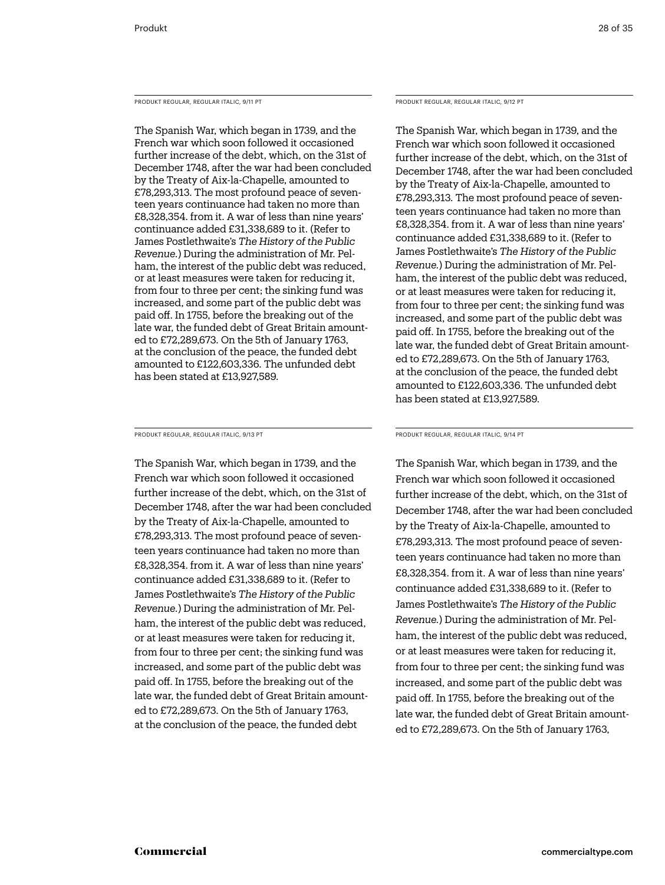Produkt Regular, Regular Italic, 9/11 PT

The Spanish War, which began in 1739, and the French war which soon followed it occasioned further increase of the debt, which, on the 31st of December 1748, after the war had been concluded by the Treaty of Aix-la-Chapelle, amounted to £78,293,313. The most profound peace of seventeen years continuance had taken no more than £8,328,354. from it. A war of less than nine years' continuance added £31,338,689 to it. (Refer to James Postlethwaite's *The History of the Public Revenue.*) During the administration of Mr. Pelham, the interest of the public debt was reduced, or at least measures were taken for reducing it, from four to three per cent; the sinking fund was increased, and some part of the public debt was paid off. In 1755, before the breaking out of the late war, the funded debt of Great Britain amounted to £72,289,673. On the 5th of January 1763, at the conclusion of the peace, the funded debt amounted to £122,603,336. The unfunded debt has been stated at £13,927,589.

Produkt Regular, Regular Italic, 9/13 PT

The Spanish War, which began in 1739, and the French war which soon followed it occasioned further increase of the debt, which, on the 31st of December 1748, after the war had been concluded by the Treaty of Aix-la-Chapelle, amounted to £78,293,313. The most profound peace of seventeen years continuance had taken no more than £8,328,354. from it. A war of less than nine years' continuance added £31,338,689 to it. (Refer to James Postlethwaite's *The History of the Public Revenue.*) During the administration of Mr. Pelham, the interest of the public debt was reduced, or at least measures were taken for reducing it, from four to three per cent; the sinking fund was increased, and some part of the public debt was paid off. In 1755, before the breaking out of the late war, the funded debt of Great Britain amounted to £72,289,673. On the 5th of January 1763, at the conclusion of the peace, the funded debt

Produkt Regular, Regular Italic, 9/12 PT

The Spanish War, which began in 1739, and the French war which soon followed it occasioned further increase of the debt, which, on the 31st of December 1748, after the war had been concluded by the Treaty of Aix-la-Chapelle, amounted to £78,293,313. The most profound peace of seventeen years continuance had taken no more than £8,328,354. from it. A war of less than nine years' continuance added £31,338,689 to it. (Refer to James Postlethwaite's *The History of the Public Revenue.*) During the administration of Mr. Pelham, the interest of the public debt was reduced, or at least measures were taken for reducing it, from four to three per cent; the sinking fund was increased, and some part of the public debt was paid off. In 1755, before the breaking out of the late war, the funded debt of Great Britain amounted to £72,289,673. On the 5th of January 1763, at the conclusion of the peace, the funded debt amounted to £122,603,336. The unfunded debt has been stated at £13,927,589.

Produkt Regular, Regular Italic, 9/14 PT

The Spanish War, which began in 1739, and the French war which soon followed it occasioned further increase of the debt, which, on the 31st of December 1748, after the war had been concluded by the Treaty of Aix-la-Chapelle, amounted to £78,293,313. The most profound peace of seventeen years continuance had taken no more than £8,328,354. from it. A war of less than nine years' continuance added £31,338,689 to it. (Refer to James Postlethwaite's *The History of the Public Revenue.*) During the administration of Mr. Pelham, the interest of the public debt was reduced, or at least measures were taken for reducing it, from four to three per cent; the sinking fund was increased, and some part of the public debt was paid off. In 1755, before the breaking out of the late war, the funded debt of Great Britain amounted to £72,289,673. On the 5th of January 1763,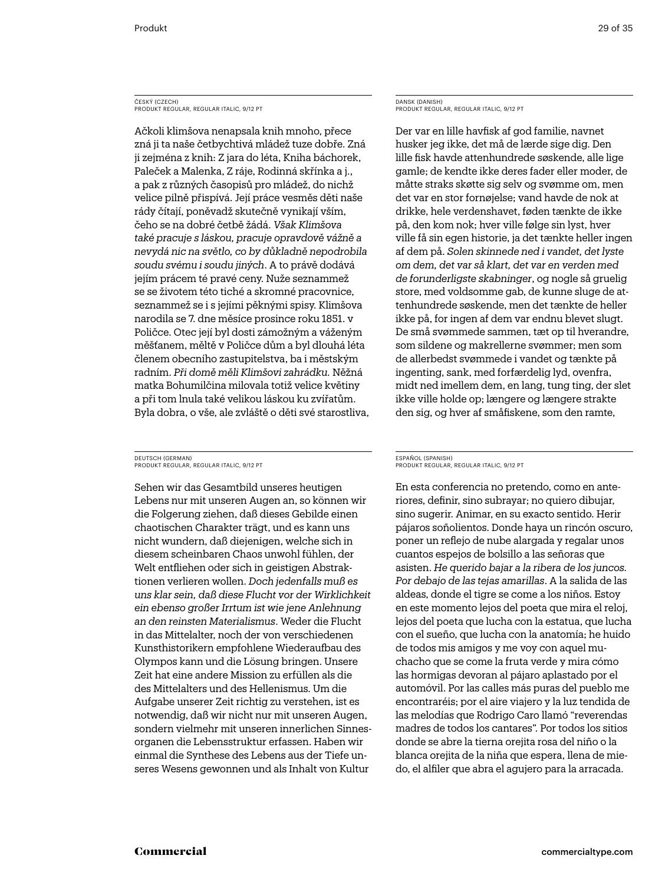### ČESKÝ (CZECH) Produkt Regular, Regular Italic, 9/12 PT

Ačkoli klimšova nenapsala knih mnoho, přece zná ji ta naše četbychtivá mládež tuze dobře. Zná ji zejména z knih: Z jara do léta, Kniha báchorek, Paleček a Malenka, Z ráje, Rodinná skřínka a j., a pak z různých časopisů pro mládež, do nichž velice pilně přispívá. Její práce vesměs děti naše rády čítají, poněvadž skutečně vynikají vším, čeho se na dobré četbě žádá. *Však Klimšova také pracuje s láskou, pracuje opravdově vážně a nevydá nic na světlo, co by důkladně nepodrobila soudu svému i soudu jiných*. A to právě dodává jejím prácem té pravé ceny. Nuže seznammež se se životem této tiché a skromné pracovnice, seznammež se i s jejími pěknými spisy. Klimšova narodila se 7. dne měsíce prosince roku 1851. v Poličce. Otec její byl dosti zámožným a váženým měšťanem, měltě v Poličce dům a byl dlouhá léta členem obecního zastupitelstva, ba i městským radním. *Při domě měli Klimšovi zahrádku.* Něžná matka Bohumilčina milovala totiž velice květiny a při tom lnula také velikou láskou ku zvířatům. Byla dobra, o vše, ale zvláště o děti své starostliva,

### DEUTSCH (GERMAN) Produkt Regular, Regular Italic, 9/12 PT

Sehen wir das Gesamtbild unseres heutigen Lebens nur mit unseren Augen an, so können wir die Folgerung ziehen, daß dieses Gebilde einen chaotischen Charakter trägt, und es kann uns nicht wundern, daß diejenigen, welche sich in diesem scheinbaren Chaos unwohl fühlen, der Welt entfliehen oder sich in geistigen Abstraktionen verlieren wollen. *Doch jedenfalls muß es uns klar sein, daß diese Flucht vor der Wirklichkeit ein ebenso großer Irrtum ist wie jene Anlehnung an den reinsten Materialismus*. Weder die Flucht in das Mittelalter, noch der von verschiedenen Kunsthistorikern empfohlene Wiederaufbau des Olympos kann und die Lösung bringen. Unsere Zeit hat eine andere Mission zu erfüllen als die des Mittelalters und des Hellenismus. Um die Aufgabe unserer Zeit richtig zu verstehen, ist es notwendig, daß wir nicht nur mit unseren Augen, sondern vielmehr mit unseren innerlichen Sinnesorganen die Lebensstruktur erfassen. Haben wir einmal die Synthese des Lebens aus der Tiefe unseres Wesens gewonnen und als Inhalt von Kultur

### DANSK (DANISH) Produkt Regular, Regular Italic, 9/12 PT

Der var en lille havfisk af god familie, navnet husker jeg ikke, det må de lærde sige dig. Den lille fisk havde attenhundrede søskende, alle lige gamle; de kendte ikke deres fader eller moder, de måtte straks skøtte sig selv og svømme om, men det var en stor fornøjelse; vand havde de nok at drikke, hele verdenshavet, føden tænkte de ikke på, den kom nok; hver ville følge sin lyst, hver ville få sin egen historie, ja det tænkte heller ingen af dem på. *Solen skinnede ned i vandet, det lyste om dem, det var så klart, det var en verden med de forunderligste skabninger*, og nogle så gruelig store, med voldsomme gab, de kunne sluge de attenhundrede søskende, men det tænkte de heller ikke på, for ingen af dem var endnu blevet slugt. De små svømmede sammen, tæt op til hverandre, som sildene og makrellerne svømmer; men som de allerbedst svømmede i vandet og tænkte på ingenting, sank, med forfærdelig lyd, ovenfra, midt ned imellem dem, en lang, tung ting, der slet ikke ville holde op; længere og længere strakte den sig, og hver af småfiskene, som den ramte,

### ESPAÑOL (SPANISH) Produkt Regular, Regular Italic, 9/12 PT

En esta conferencia no pretendo, como en anteriores, definir, sino subrayar; no quiero dibujar, sino sugerir. Animar, en su exacto sentido. Herir pájaros soñolientos. Donde haya un rincón oscuro, poner un reflejo de nube alargada y regalar unos cuantos espejos de bolsillo a las señoras que asisten. *He querido bajar a la ribera de los juncos. Por debajo de las tejas amarillas*. A la salida de las aldeas, donde el tigre se come a los niños. Estoy en este momento lejos del poeta que mira el reloj, lejos del poeta que lucha con la estatua, que lucha con el sueño, que lucha con la anatomía; he huido de todos mis amigos y me voy con aquel muchacho que se come la fruta verde y mira cómo las hormigas devoran al pájaro aplastado por el automóvil. Por las calles más puras del pueblo me encontraréis; por el aire viajero y la luz tendida de las melodías que Rodrigo Caro llamó "reverendas madres de todos los cantares". Por todos los sitios donde se abre la tierna orejita rosa del niño o la blanca orejita de la niña que espera, llena de miedo, el alfiler que abra el agujero para la arracada.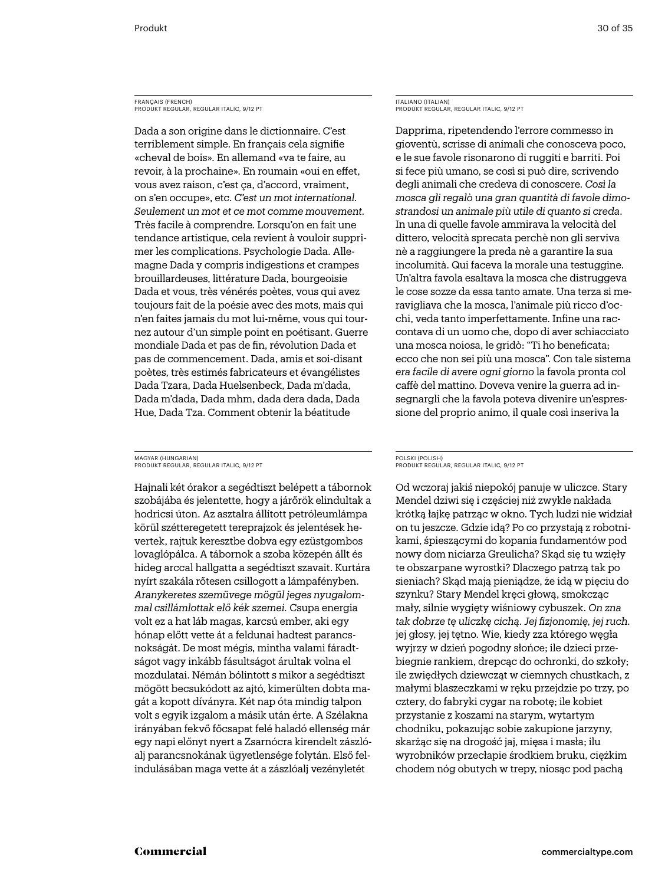### FRANÇAIS (FRENCH) Produkt Regular, Regular Italic, 9/12 PT

Dada a son origine dans le dictionnaire. C'est terriblement simple. En français cela signifie «cheval de bois». En allemand «va te faire, au revoir, à la prochaine». En roumain «oui en effet, vous avez raison, c'est ça, d'accord, vraiment, on s'en occupe», etc. *C'est un mot international. Seulement un mot et ce mot comme mouvement.* Très facile à comprendre. Lorsqu'on en fait une tendance artistique, cela revient à vouloir supprimer les complications. Psychologie Dada. Allemagne Dada y compris indigestions et crampes brouillardeuses, littérature Dada, bourgeoisie Dada et vous, très vénérés poètes, vous qui avez toujours fait de la poésie avec des mots, mais qui n'en faites jamais du mot lui-même, vous qui tournez autour d'un simple point en poétisant. Guerre mondiale Dada et pas de fin, révolution Dada et pas de commencement. Dada, amis et soi-disant poètes, très estimés fabricateurs et évangélistes Dada Tzara, Dada Huelsenbeck, Dada m'dada, Dada m'dada, Dada mhm, dada dera dada, Dada Hue, Dada Tza. Comment obtenir la béatitude

### MAGYAR (HUNGARIAN) Produkt Regular, Regular Italic, 9/12 PT

Hajnali két órakor a segédtiszt belépett a tábornok szobájába és jelentette, hogy a járőrök elindultak a hodricsi úton. Az asztalra állított petróleumlámpa körül szétteregetett tereprajzok és jelentések hevertek, rajtuk keresztbe dobva egy ezüstgombos lovaglópálca. A tábornok a szoba közepén állt és hideg arccal hallgatta a segédtiszt szavait. Kurtára nyírt szakála rőtesen csillogott a lámpafényben. *Aranykeretes szemüvege mögül jeges nyugalommal csillámlottak elő kék szemei.* Csupa energia volt ez a hat láb magas, karcsú ember, aki egy hónap előtt vette át a feldunai hadtest parancsnokságát. De most mégis, mintha valami fáradtságot vagy inkább fásultságot árultak volna el mozdulatai. Némán bólintott s mikor a segédtiszt mögött becsukódott az ajtó, kimerülten dobta magát a kopott díványra. Két nap óta mindig talpon volt s egyik izgalom a másik után érte. A Szélakna irányában fekvő főcsapat felé haladó ellenség már egy napi előnyt nyert a Zsarnócra kirendelt zászlóalj parancsnokának ügyetlensége folytán. Első felindulásában maga vette át a zászlóalj vezényletét

### ITALIANO (ITALIAN) Produkt Regular, Regular Italic, 9/12 PT

Dapprima, ripetendendo l'errore commesso in gioventù, scrisse di animali che conosceva poco, e le sue favole risonarono di ruggiti e barriti. Poi si fece più umano, se così si può dire, scrivendo degli animali che credeva di conoscere. *Così la mosca gli regalò una gran quantità di favole dimostrandosi un animale più utile di quanto si creda*. In una di quelle favole ammirava la velocità del dittero, velocità sprecata perchè non gli serviva nè a raggiungere la preda nè a garantire la sua incolumità. Qui faceva la morale una testuggine. Un'altra favola esaltava la mosca che distruggeva le cose sozze da essa tanto amate. Una terza si meravigliava che la mosca, l'animale più ricco d'occhi, veda tanto imperfettamente. Infine una raccontava di un uomo che, dopo di aver schiacciato una mosca noiosa, le gridò: "Ti ho beneficata; ecco che non sei più una mosca". Con tale sistema *era facile di avere ogni giorno* la favola pronta col caffè del mattino. Doveva venire la guerra ad insegnargli che la favola poteva divenire un'espressione del proprio animo, il quale così inseriva la

### POLSKI (POLISH) Produkt Regular, Regular Italic, 9/12 PT

Od wczoraj jakiś niepokój panuje w uliczce. Stary Mendel dziwi się i częściej niż zwykle nakłada krótką łajkę patrząc w okno. Tych ludzi nie widział on tu jeszcze. Gdzie idą? Po co przystają z robotnikami, śpieszącymi do kopania fundamentów pod nowy dom niciarza Greulicha? Skąd się tu wzięły te obszarpane wyrostki? Dlaczego patrzą tak po sieniach? Skąd mają pieniądze, że idą w pięciu do szynku? Stary Mendel kręci głową, smokcząc mały, silnie wygięty wiśniowy cybuszek. *On zna tak dobrze tę uliczkę cichą. Jej fizjonomię, jej ruch.* jej głosy, jej tętno. Wie, kiedy zza którego węgła wyjrzy w dzień pogodny słońce; ile dzieci przebiegnie rankiem, drepcąc do ochronki, do szkoły; ile zwiędłych dziewcząt w ciemnych chustkach, z małymi blaszeczkami w ręku przejdzie po trzy, po cztery, do fabryki cygar na robotę; ile kobiet przystanie z koszami na starym, wytartym chodniku, pokazując sobie zakupione jarzyny, skarżąc się na drogość jaj, mięsa i masła; ilu wyrobników przecłapie środkiem bruku, ciężkim chodem nóg obutych w trepy, niosąc pod pachą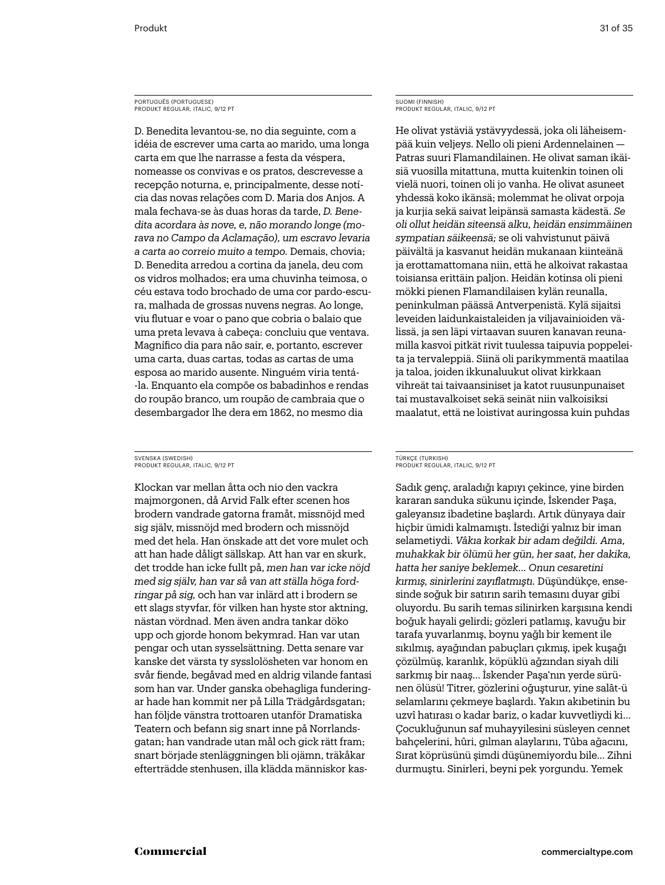### PORTUGUÊS (PORTUGUESE) Produkt Regular, italic, 9/12 PT

D. Benedita levantou-se, no dia seguinte, com a idéia de escrever uma carta ao marido, uma longa carta em que lhe narrasse a festa da véspera, nomeasse os convivas e os pratos, descrevesse a recepção noturna, e, principalmente, desse notícia das novas relações com D. Maria dos Anjos. A mala fechava-se às duas horas da tarde, *D. Benedita acordara às nove, e, não morando longe (morava no Campo da Aclamação), um escravo levaria a carta ao correio muito a tempo.* Demais, chovia; D. Benedita arredou a cortina da janela, deu com os vidros molhados; era uma chuvinha teimosa, o céu estava todo brochado de uma cor pardo-escura, malhada de grossas nuvens negras. Ao longe, viu flutuar e voar o pano que cobria o balaio que uma preta levava à cabeça: concluiu que ventava. Magnífico dia para não sair, e, portanto, escrever uma carta, duas cartas, todas as cartas de uma esposa ao marido ausente. Ninguém viria tentá- -la. Enquanto ela compõe os babadinhos e rendas do roupão branco, um roupão de cambraia que o desembargador lhe dera em 1862, no mesmo dia

### SVENSKA (SWEDISH) Produkt Regular, italic, 9/12 PT

Klockan var mellan åtta och nio den vackra majmorgonen, då Arvid Falk efter scenen hos brodern vandrade gatorna framåt, missnöjd med sig själv, missnöjd med brodern och missnöjd med det hela. Han önskade att det vore mulet och att han hade dåligt sällskap. Att han var en skurk, det trodde han icke fullt på, *men han var icke nöjd med sig själv, han var så van att ställa höga fordringar på sig,* och han var inlärd att i brodern se ett slags styvfar, för vilken han hyste stor aktning, nästan vördnad. Men även andra tankar döko upp och gjorde honom bekymrad. Han var utan pengar och utan sysselsättning. Detta senare var kanske det värsta ty sysslolösheten var honom en svår fiende, begåvad med en aldrig vilande fantasi som han var. Under ganska obehagliga funderingar hade han kommit ner på Lilla Trädgårdsgatan; han följde vänstra trottoaren utanför Dramatiska Teatern och befann sig snart inne på Norrlandsgatan; han vandrade utan mål och gick rätt fram; snart började stenläggningen bli ojämn, träkåkar efterträdde stenhusen, illa klädda människor kas-

### SUOMI (FINNISH) Produkt Regular, italic, 9/12 PT

He olivat ystäviä ystävyydessä, joka oli läheisempää kuin veljeys. Nello oli pieni Ardennelainen — Patras suuri Flamandilainen. He olivat saman ikäisiä vuosilla mitattuna, mutta kuitenkin toinen oli vielä nuori, toinen oli jo vanha. He olivat asuneet yhdessä koko ikänsä; molemmat he olivat orpoja ja kurjia sekä saivat leipänsä samasta kädestä. *Se oli ollut heidän siteensä alku, heidän ensimmäinen sympatian säikeensä;* se oli vahvistunut päivä päivältä ja kasvanut heidän mukanaan kiinteänä ja erottamattomana niin, että he alkoivat rakastaa toisiansa erittäin paljon. Heidän kotinsa oli pieni mökki pienen Flamandilaisen kylän reunalla, peninkulman päässä Antverpenistä. Kylä sijaitsi leveiden laidunkaistaleiden ja viljavainioiden välissä, ja sen läpi virtaavan suuren kanavan reunamilla kasvoi pitkät rivit tuulessa taipuvia poppeleita ja tervaleppiä. Siinä oli parikymmentä maatilaa ja taloa, joiden ikkunaluukut olivat kirkkaan vihreät tai taivaansiniset ja katot ruusunpunaiset tai mustavalkoiset sekä seinät niin valkoisiksi maalatut, että ne loistivat auringossa kuin puhdas

### TÜRKÇE (TURKISH) Produkt Regular, italic, 9/12 PT

Sadık genç, araladığı kapıyı çekince, yine birden kararan sanduka sükunu içinde, İskender Paşa, galeyansız ibadetine başlardı. Artık dünyaya dair hiçbir ümidi kalmamıştı. İstediği yalnız bir iman selametiydi. *Vâkıa korkak bir adam değildi. Ama, muhakkak bir ölümü her gün, her saat, her dakika, hatta her saniye beklemek… Onun cesaretini kırmış, sinirlerini zayıflatmıştı.* Düşündükçe, ensesinde soğuk bir satırın sarih temasını duyar gibi oluyordu. Bu sarih temas silinirken karşısına kendi boğuk hayali gelirdi; gözleri patlamış, kavuğu bir tarafa yuvarlanmış, boynu yağlı bir kement ile sıkılmış, ayağından pabuçları çıkmış, ipek kuşağı çözülmüş, karanlık, köpüklü ağzından siyah dili sarkmış bir naaş… İskender Paşa'nın yerde sürünen ölüsü! Titrer, gözlerini oğuşturur, yine salât-ü selamlarını çekmeye başlardı. Yakın akıbetinin bu uzvî hatırası o kadar bariz, o kadar kuvvetliydi ki… Çocukluğunun saf muhayyilesini süsleyen cennet bahçelerini, hûri, gılman alaylarını, Tûba ağacını, Sırat köprüsünü şimdi düşünemiyordu bile… Zihni durmuştu. Sinirleri, beyni pek yorgundu. Yemek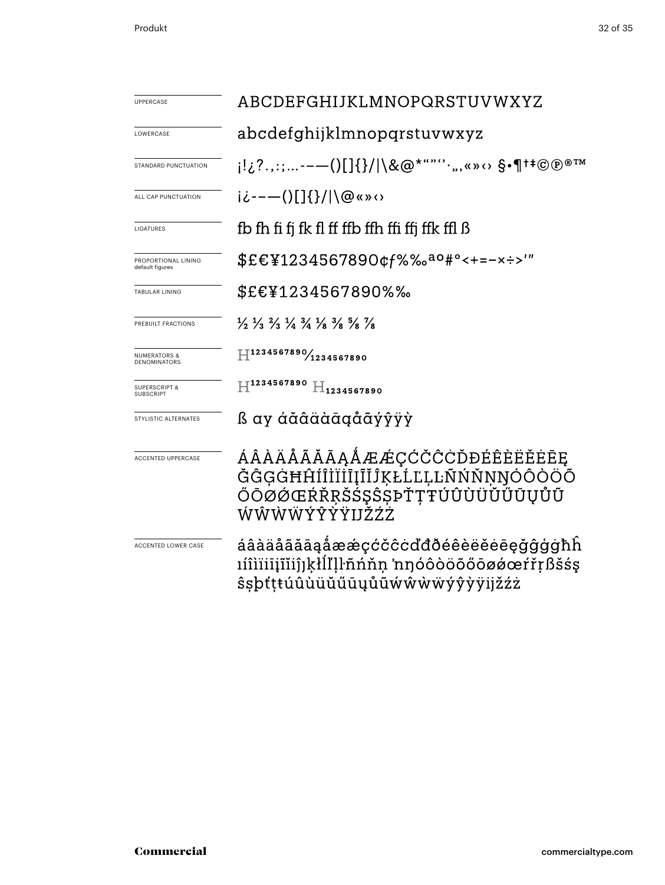| <b>UPPERCASE</b>                               | ABCDEFGHIJKLMNOPQRSTUVWXYZ                                                                                                    |  |
|------------------------------------------------|-------------------------------------------------------------------------------------------------------------------------------|--|
| LOWERCASE                                      | abcdefghijklmnopqrstuvwxyz                                                                                                    |  |
| STANDARD PUNCTUATION                           |                                                                                                                               |  |
| ALL CAP PUNCTUATION                            | ii---()[]{}/ \@«»<>                                                                                                           |  |
| LIGATURES                                      | fb fh fi fi fk fl ff ffb ffh ffi ffi ffk ffl ß                                                                                |  |
| PROPORTIONAL LINING<br>default figures         | \$£€¥1234567890¢f%‰ <sup>ao</sup> #°<+=-×÷>'"                                                                                 |  |
| <b>TABULAR LINING</b>                          | \$£€¥1234567890%‰                                                                                                             |  |
| PREBUILT FRACTIONS                             | $\frac{1}{2}$ $\frac{1}{3}$ $\frac{2}{3}$ $\frac{1}{4}$ $\frac{3}{4}$ $\frac{1}{8}$ $\frac{3}{8}$ $\frac{5}{8}$ $\frac{7}{8}$ |  |
| <b>NUMERATORS &amp;</b><br><b>DENOMINATORS</b> | $H^{1234567890}/_{1234567890}$                                                                                                |  |
| <b>SUPERSCRIPT &amp;</b><br><b>SUBSCRIPT</b>   | $\rm{H}^{1234567890}$ $\rm{H}_{1234567890}$                                                                                   |  |
| STYLISTIC ALTERNATES                           | ß ay áăâäàāgåãýŷÿỳ                                                                                                            |  |
| <b>ACCENTED UPPERCASE</b>                      | ÁÂÀÄÅÃĂĀĀĄÅÆÆÇĆČĈĊĎĐÉÊÈËÈĖĒĘ<br>ĞĜĢĠĦĤÍÎÌÏİĪĮĨĬĴĶŁĹĽĻĿÑŃŇŅŊÓÔÒÖŐ<br>ŐŌØØŒŔŘŖŠŚŞŜȘÞŤŢŦÚÛÙÜŬŰŪŲŮŨ<br>ŴŴŴŴÝŶŸŸIJŽŹŻ              |  |
| ACCENTED LOWER CASE                            | áâàäåããāąåææçćčĉcďđðéêèëĕėēęğĝģġħĥ<br>ıíîìïiiįĩĭiĵjķłĺľḷŀñńňņ 'nŋóôòöõőōøǿœŕřŗßšśş<br>ŝşþťţŧúûùüŭűūyůũẃŵẁẅýŷỳÿijžźż           |  |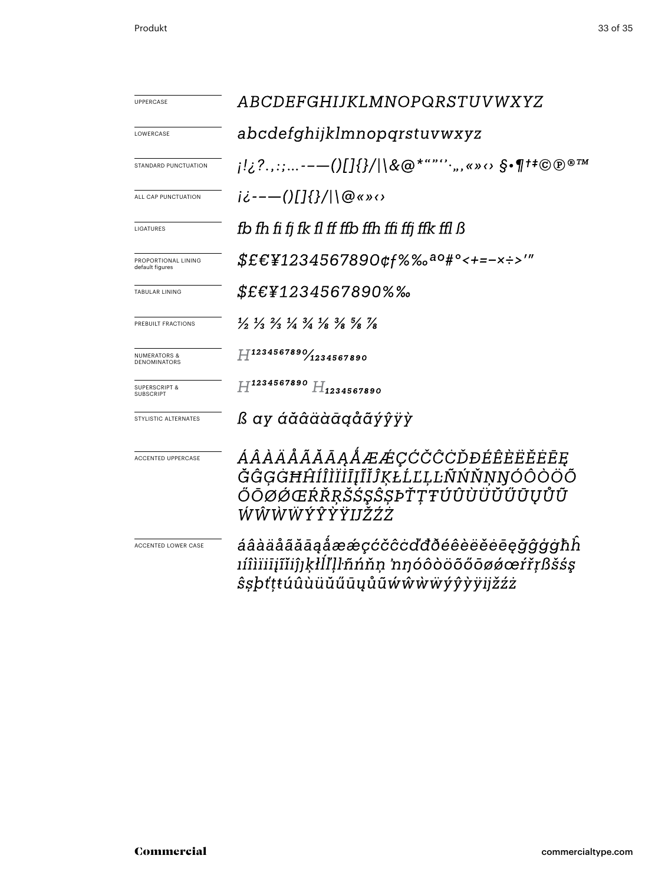| <b>UPPERCASE</b>                               | ABCDEFGHIJKLMNOPQRSTUVWXYZ                                                                                                    |  |
|------------------------------------------------|-------------------------------------------------------------------------------------------------------------------------------|--|
| LOWERCASE                                      | abcdefghijklmnopqrstuvwxyz                                                                                                    |  |
| STANDARD PUNCTUATION                           | j!¿?.,:;--—()[]{}/ \&@*""''·",«»⇔ §•¶†‡©®®™                                                                                   |  |
| ALL CAP PUNCTUATION                            | $i\dot{\zeta}$ ---()[]{}/ \@«»<>                                                                                              |  |
| LIGATURES                                      | fb fh fi fi fk fl ff ffb ffh ffi ffi ffk ffl ß                                                                                |  |
| PROPORTIONAL LINING<br>default figures         | \$£€¥1234567890¢f%‰ <sup>ao</sup> #°<+=-×÷>′″                                                                                 |  |
| <b>TABULAR LINING</b>                          | <i>\$£€¥1234567890%‰</i>                                                                                                      |  |
| PREBUILT FRACTIONS                             | $\frac{1}{2}$ $\frac{1}{3}$ $\frac{2}{3}$ $\frac{1}{4}$ $\frac{3}{4}$ $\frac{1}{8}$ $\frac{3}{8}$ $\frac{5}{8}$ $\frac{7}{8}$ |  |
| <b>NUMERATORS &amp;</b><br><b>DENOMINATORS</b> | $H^{1234567890}$ 1234567890                                                                                                   |  |
| <b>SUPERSCRIPT &amp;</b><br>SUBSCRIPT          | $H^{1234567890}H_{1234567890}$                                                                                                |  |
| STYLISTIC ALTERNATES                           | ß ay áăâäàāgåãýŷÿỳ                                                                                                            |  |
| <b>ACCENTED UPPERCASE</b>                      | ÁÂÀÄÅÃĂĀĀĄÅÆÆÇĆČĈĊĎĐÉÊÈËËĒĒ<br>ĞĜĢĠĦĤÍÎÌÏĬĪĮĨĬĴĶŁĹĽĻĿÑŃŇŅŊÓÔÒÖÕ<br>ŎŌØØŒŔŘŖŠŚŞŜŞÞŤŢŦÚÛÙÜŬŰŪŲŮŨ<br>ŴŴŴŴÝŶŸŸIJŽŹŻ               |  |
| ACCENTED LOWER CASE                            | áâàäåããāaåææçćčĉcďđðéêèëĕėēęğĝģġħĥ<br>ıíîìïiiįĩĭiĵıkłĺľḷŀñńňn 'nηόôòöõőōøǿœŕřṛßšśş<br><i>ŝ</i> sþťţŧúûùüŭűūyůũẃŵẁẅýŷỳÿijžźż   |  |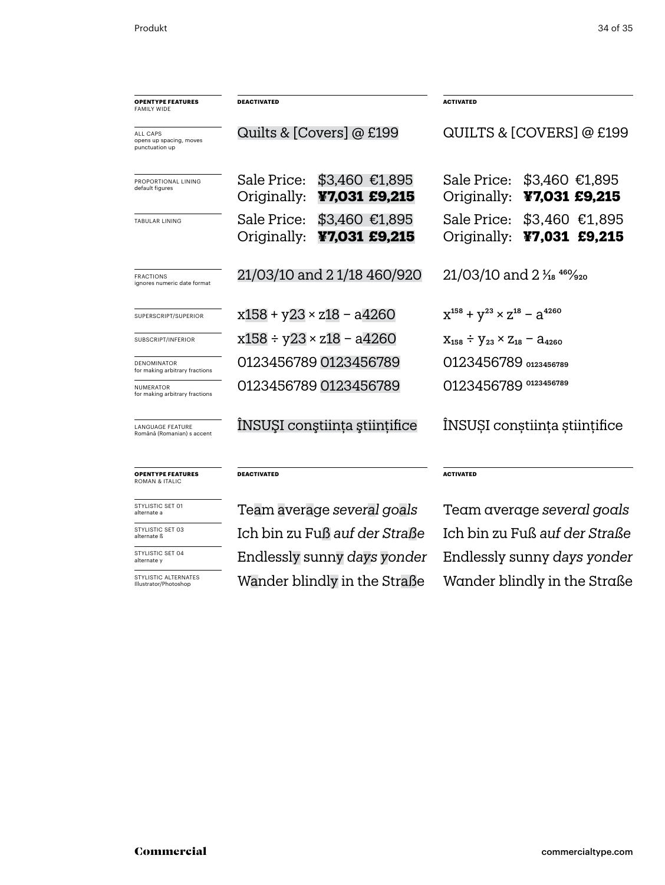| <b>OPENTYPE FEATURES</b><br><b>FAMILY WIDE</b>        | <b>DEACTIVATED</b>                                               | <b>ACTIVATED</b>                                               |
|-------------------------------------------------------|------------------------------------------------------------------|----------------------------------------------------------------|
| ALL CAPS<br>opens up spacing, moves<br>punctuation up | Quilts & [Covers] @ £199                                         | QUILTS & [COVERS] @ £199                                       |
| PROPORTIONAL LINING<br>default figures                | Sale Price:<br>$$3,460$ $$1,895$<br>Originally:<br>¥7,031 £9,215 | Sale Price: \$3,460 €1,895<br>Originally: ¥7,031 £9,215        |
| <b>TABULAR LINING</b>                                 | Sale Price:<br>$$3,460$ €1,895<br>Originally:<br>¥7,031 £9,215   | Sale Price:<br>$$3,460$ €1,895<br>Originally:<br>¥7,031 £9,215 |
| <b>FRACTIONS</b><br>ignores numeric date format       | 21/03/10 and 21/18 460/920                                       | $21/03/10$ and $2\frac{1}{18}$ $46\frac{1}{20}$                |
| SUPERSCRIPT/SUPERIOR                                  | $x158 + y23 \times z18 - a4260$                                  | $X^{158} + Y^{23} \times Z^{18} - a^{4260}$                    |
| SUBSCRIPT/INFERIOR                                    | x158 ÷ y23 × z18 – a4260                                         | $X_{158} \div Y_{23} \times Z_{18} - A_{4260}$                 |
| DENOMINATOR<br>for making arbitrary fractions         | 0123456789 0123456789                                            | 0123456789 0123456789                                          |
| <b>NUMERATOR</b><br>for making arbitrary fractions    | 0123456789 0123456789                                            | 0123456789 0123456789                                          |
| LANGUAGE FEATURE<br>Română (Romanian) s accent        | ÎNSUȘI conștiința științifice                                    | ÎNSUȘI conștiința științifice                                  |
| <b>OPENTYPE FEATURES</b><br><b>ROMAN &amp; ITALIC</b> | <b>DEACTIVATED</b>                                               | <b>ACTIVATED</b>                                               |

STYLISTIC SET 01 alternate a

STYLISTIC SET 03 alternate ß

STYLISTIC SET 04 alternate y

STYLISTIC ALTERNATES Illustrator/Photoshop

Team average *several goals* Team average *several goals* Endlessly sunny *days yonder* Wander blindly in the Straße Wander blindly in the Straße Ich bin zu Fuß *auf der Straße* Ich bin zu Fuß *auf der Straße*

Endlessly sunny *days yonder*